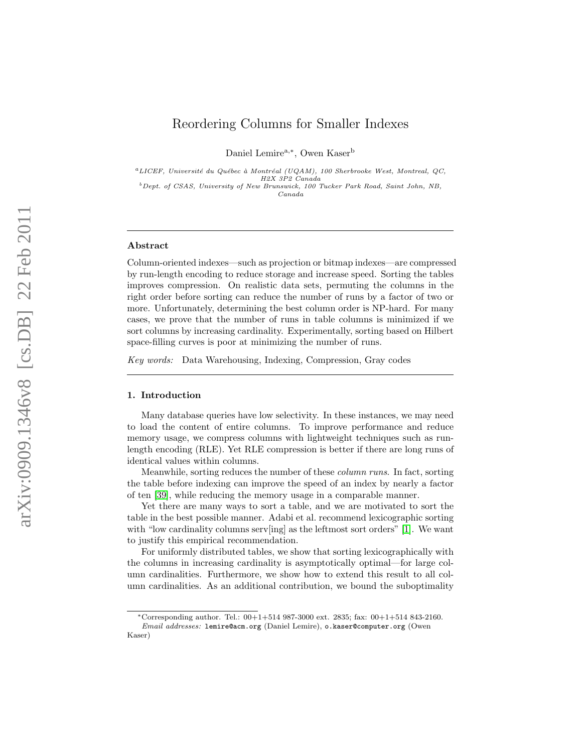# Reordering Columns for Smaller Indexes

Daniel Lemire<sup>a,\*</sup>, Owen Kaser<sup>b</sup>

 ${}^{a}$ LICEF, Université du Québec à Montréal (UQAM), 100 Sherbrooke West, Montreal, QC, H2X 3P2 Canada

 $^{b}$  Dept. of CSAS, University of New Brunswick, 100 Tucker Park Road, Saint John, NB, Canada

## Abstract

Column-oriented indexes—such as projection or bitmap indexes—are compressed by run-length encoding to reduce storage and increase speed. Sorting the tables improves compression. On realistic data sets, permuting the columns in the right order before sorting can reduce the number of runs by a factor of two or more. Unfortunately, determining the best column order is NP-hard. For many cases, we prove that the number of runs in table columns is minimized if we sort columns by increasing cardinality. Experimentally, sorting based on Hilbert space-filling curves is poor at minimizing the number of runs.

Key words: Data Warehousing, Indexing, Compression, Gray codes

#### <span id="page-0-0"></span>1. Introduction

Many database queries have low selectivity. In these instances, we may need to load the content of entire columns. To improve performance and reduce memory usage, we compress columns with lightweight techniques such as runlength encoding (RLE). Yet RLE compression is better if there are long runs of identical values within columns.

Meanwhile, sorting reduces the number of these column runs. In fact, sorting the table before indexing can improve the speed of an index by nearly a factor of ten [\[39\]](#page-30-0), while reducing the memory usage in a comparable manner.

Yet there are many ways to sort a table, and we are motivated to sort the table in the best possible manner. Adabi et al. recommend lexicographic sorting with "low cardinality columns serv[ing] as the leftmost sort orders" [\[1\]](#page-27-0). We want to justify this empirical recommendation.

For uniformly distributed tables, we show that sorting lexicographically with the columns in increasing cardinality is asymptotically optimal—for large column cardinalities. Furthermore, we show how to extend this result to all column cardinalities. As an additional contribution, we bound the suboptimality

<sup>\*</sup>Corresponding author. Tel.:  $00+1+514$  987-3000 ext. 2835; fax:  $00+1+514$  843-2160.

Email addresses: lemire@acm.org (Daniel Lemire), o.kaser@computer.org (Owen Kaser)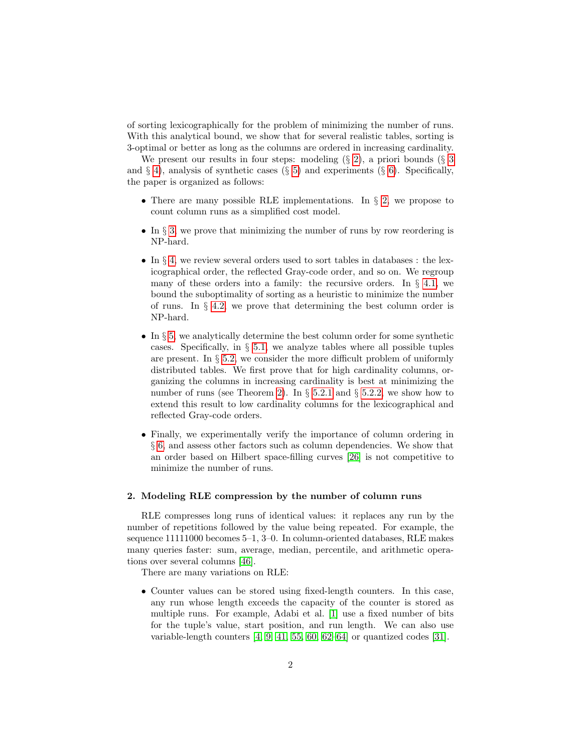of sorting lexicographically for the problem of minimizing the number of runs. With this analytical bound, we show that for several realistic tables, sorting is 3-optimal or better as long as the columns are ordered in increasing cardinality.

We present our results in four steps: modeling  $(\S 2)$  $(\S 2)$ , a priori bounds  $(\S 3)$  $(\S 3)$  $(\S 3)$ and  $\S$  [4\)](#page-4-0), analysis of synthetic cases ( $\S$  [5\)](#page-12-0) and experiments ( $\S$  [6\)](#page-20-0). Specifically, the paper is organized as follows:

- There are many possible RLE implementations. In  $\S$  [2,](#page-1-0) we propose to count column runs as a simplified cost model.
- In  $\S 3$ , we prove that minimizing the number of runs by row reordering is NP-hard.
- In § [4,](#page-4-0) we review several orders used to sort tables in databases : the lexicographical order, the reflected Gray-code order, and so on. We regroup many of these orders into a family: the recursive orders. In  $\S$  [4.1,](#page-6-0) we bound the suboptimality of sorting as a heuristic to minimize the number of runs. In  $\S$  [4.2,](#page-10-0) we prove that determining the best column order is NP-hard.
- In  $\S 5$ , we analytically determine the best column order for some synthetic cases. Specifically, in  $\S$  [5.1,](#page-12-1) we analyze tables where all possible tuples are present. In  $\S 5.2$ , we consider the more difficult problem of uniformly distributed tables. We first prove that for high cardinality columns, organizing the columns in increasing cardinality is best at minimizing the number of runs (see Theorem [2\)](#page-15-0). In  $\S$  [5.2.1](#page-16-0) and  $\S$  [5.2.2,](#page-18-0) we show how to extend this result to low cardinality columns for the lexicographical and reflected Gray-code orders.
- Finally, we experimentally verify the importance of column ordering in § [6,](#page-20-0) and assess other factors such as column dependencies. We show that an order based on Hilbert space-filling curves [\[26\]](#page-29-0) is not competitive to minimize the number of runs.

## <span id="page-1-0"></span>2. Modeling RLE compression by the number of column runs

RLE compresses long runs of identical values: it replaces any run by the number of repetitions followed by the value being repeated. For example, the sequence 11111000 becomes 5–1, 3–0. In column-oriented databases, RLE makes many queries faster: sum, average, median, percentile, and arithmetic operations over several columns [\[46\]](#page-31-0).

There are many variations on RLE:

• Counter values can be stored using fixed-length counters. In this case, any run whose length exceeds the capacity of the counter is stored as multiple runs. For example, Adabi et al. [\[1\]](#page-27-0) use a fixed number of bits for the tuple's value, start position, and run length. We can also use variable-length counters [\[4,](#page-28-0) [9,](#page-28-1) [41,](#page-30-1) [55,](#page-31-1) [60,](#page-32-0) [62](#page-32-1)[–64\]](#page-32-2) or quantized codes [\[31\]](#page-29-1).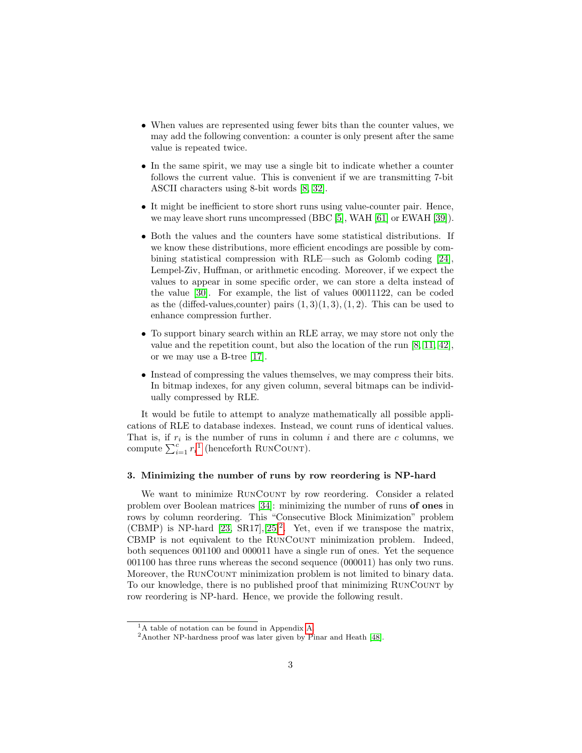- When values are represented using fewer bits than the counter values, we may add the following convention: a counter is only present after the same value is repeated twice.
- In the same spirit, we may use a single bit to indicate whether a counter follows the current value. This is convenient if we are transmitting 7-bit ASCII characters using 8-bit words [\[8,](#page-28-2) [32\]](#page-30-2).
- It might be inefficient to store short runs using value-counter pair. Hence, we may leave short runs uncompressed (BBC [\[5\]](#page-28-3), WAH [\[61\]](#page-32-3) or EWAH [\[39\]](#page-30-0)).
- Both the values and the counters have some statistical distributions. If we know these distributions, more efficient encodings are possible by combining statistical compression with RLE—such as Golomb coding [\[24\]](#page-29-2), Lempel-Ziv, Huffman, or arithmetic encoding. Moreover, if we expect the values to appear in some specific order, we can store a delta instead of the value [\[30\]](#page-29-3). For example, the list of values 00011122, can be coded as the (diffed-values, counter) pairs  $(1, 3)(1, 3), (1, 2)$ . This can be used to enhance compression further.
- To support binary search within an RLE array, we may store not only the value and the repetition count, but also the location of the run [\[8,](#page-28-2) [11,](#page-28-4) [42\]](#page-30-3), or we may use a B-tree [\[17\]](#page-29-4).
- Instead of compressing the values themselves, we may compress their bits. In bitmap indexes, for any given column, several bitmaps can be individually compressed by RLE.

It would be futile to attempt to analyze mathematically all possible applications of RLE to database indexes. Instead, we count runs of identical values. That is, if  $r_i$  is the number of runs in column i and there are c columns, we compute  $\sum_{i=1}^{c} r_i^1$  $\sum_{i=1}^{c} r_i^1$  $\sum_{i=1}^{c} r_i^1$  (henceforth RUNCOUNT).

## <span id="page-2-0"></span>3. Minimizing the number of runs by row reordering is NP-hard

We want to minimize RUNCOUNT by row reordering. Consider a related problem over Boolean matrices [\[34\]](#page-30-4): minimizing the number of runs of ones in rows by column reordering. This "Consecutive Block Minimization" problem (CBMP) is NP-hard  $[23, SR17], [25]^2$  $[23, SR17], [25]^2$  $[23, SR17], [25]^2$  $[23, SR17], [25]^2$  $[23, SR17], [25]^2$ . Yet, even if we transpose the matrix, CBMP is not equivalent to the RUNCOUNT minimization problem. Indeed, both sequences 001100 and 000011 have a single run of ones. Yet the sequence 001100 has three runs whereas the second sequence (000011) has only two runs. Moreover, the RunCount minimization problem is not limited to binary data. To our knowledge, there is no published proof that minimizing RunCount by row reordering is NP-hard. Hence, we provide the following result.

<span id="page-2-3"></span><span id="page-2-1"></span><sup>&</sup>lt;sup>1</sup>A table of notation can be found in Appendix [A.](#page-33-0)

<span id="page-2-2"></span><sup>2</sup>Another NP-hardness proof was later given by Pinar and Heath [\[48\]](#page-31-2).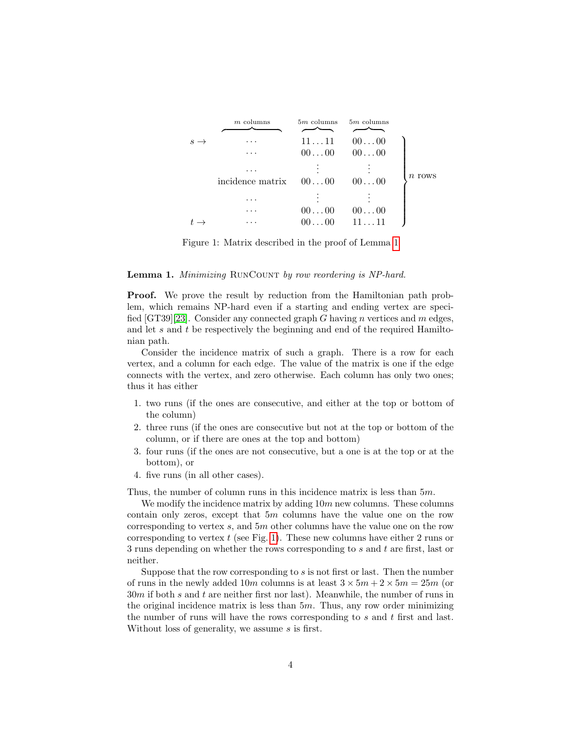<span id="page-3-0"></span>

|   | $m$ columns             | $5m$ columns   | $5m$ columns   |          |
|---|-------------------------|----------------|----------------|----------|
| S |                         | 1111           | 0000           |          |
|   | .                       | $00 \ldots 00$ | $00 \ldots 00$ |          |
|   |                         |                |                | $n$ rows |
|   | incidence matrix $0000$ |                | $00 \dots 00$  |          |
|   | .                       |                |                |          |
|   |                         | $00 \ldots 00$ | 0000           |          |
|   |                         | $00 \dots 00$  | 1111           |          |

Figure 1: Matrix described in the proof of Lemma [1](#page-2-3)

#### Lemma 1. Minimizing RUNCOUNT by row reordering is NP-hard.

**Proof.** We prove the result by reduction from the Hamiltonian path problem, which remains NP-hard even if a starting and ending vertex are speci-fied [GT39][\[23\]](#page-29-5). Consider any connected graph G having n vertices and m edges, and let  $s$  and  $t$  be respectively the beginning and end of the required Hamiltonian path.

Consider the incidence matrix of such a graph. There is a row for each vertex, and a column for each edge. The value of the matrix is one if the edge connects with the vertex, and zero otherwise. Each column has only two ones; thus it has either

- 1. two runs (if the ones are consecutive, and either at the top or bottom of the column)
- 2. three runs (if the ones are consecutive but not at the top or bottom of the column, or if there are ones at the top and bottom)
- 3. four runs (if the ones are not consecutive, but a one is at the top or at the bottom), or
- 4. five runs (in all other cases).

Thus, the number of column runs in this incidence matrix is less than 5m.

We modify the incidence matrix by adding  $10m$  new columns. These columns contain only zeros, except that  $5m$  columns have the value one on the row corresponding to vertex s, and 5m other columns have the value one on the row corresponding to vertex  $t$  (see Fig. [1\)](#page-3-0). These new columns have either 2 runs or 3 runs depending on whether the rows corresponding to s and t are first, last or neither.

Suppose that the row corresponding to s is not first or last. Then the number of runs in the newly added 10m columns is at least  $3 \times 5m + 2 \times 5m = 25m$  (or  $30m$  if both s and t are neither first nor last). Meanwhile, the number of runs in the original incidence matrix is less than  $5m$ . Thus, any row order minimizing the number of runs will have the rows corresponding to  $s$  and  $t$  first and last. Without loss of generality, we assume s is first.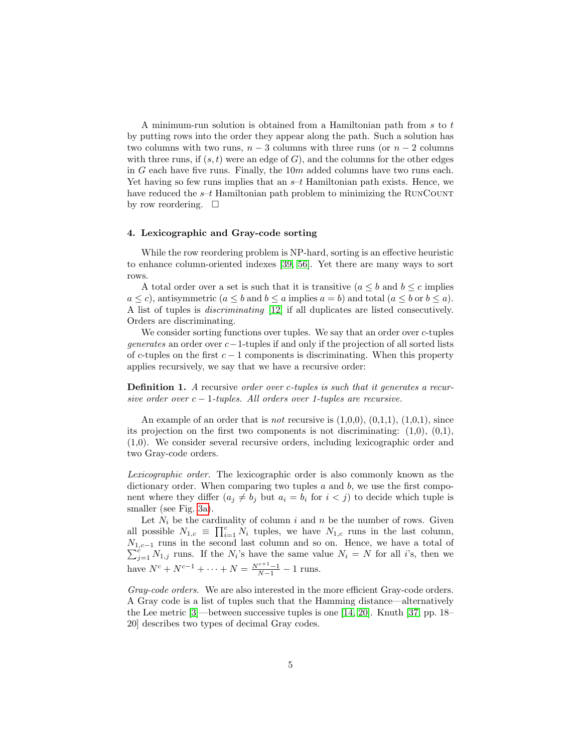A minimum-run solution is obtained from a Hamiltonian path from s to t by putting rows into the order they appear along the path. Such a solution has two columns with two runs,  $n-3$  columns with three runs (or  $n-2$  columns with three runs, if  $(s, t)$  were an edge of G), and the columns for the other edges in G each have five runs. Finally, the  $10m$  added columns have two runs each. Yet having so few runs implies that an  $s-t$  Hamiltonian path exists. Hence, we have reduced the  $s-t$  Hamiltonian path problem to minimizing the RUNCOUNT by row reordering.  $\square$ 

#### <span id="page-4-0"></span>4. Lexicographic and Gray-code sorting

While the row reordering problem is NP-hard, sorting is an effective heuristic to enhance column-oriented indexes [\[39,](#page-30-0) [56\]](#page-31-3). Yet there are many ways to sort rows.

A total order over a set is such that it is transitive  $(a \leq b \text{ and } b \leq c \text{ implies}$  $a \leq c$ , antisymmetric  $(a \leq b \text{ and } b \leq a \text{ implies } a = b)$  and total  $(a \leq b \text{ or } b \leq a)$ . A list of tuples is discriminating [\[12\]](#page-28-5) if all duplicates are listed consecutively. Orders are discriminating.

We consider sorting functions over tuples. We say that an order over c-tuples generates an order over c−1-tuples if and only if the projection of all sorted lists of c-tuples on the first  $c - 1$  components is discriminating. When this property applies recursively, we say that we have a recursive order:

**Definition 1.** A recursive order over c-tuples is such that it generates a recursive order over  $c - 1$ -tuples. All orders over 1-tuples are recursive.

An example of an order that is *not* recursive is  $(1,0,0)$ ,  $(0,1,1)$ ,  $(1,0,1)$ , since its projection on the first two components is not discriminating:  $(1,0)$ ,  $(0,1)$ , (1,0). We consider several recursive orders, including lexicographic order and two Gray-code orders.

<span id="page-4-1"></span>Lexicographic order. The lexicographic order is also commonly known as the dictionary order. When comparing two tuples  $a$  and  $b$ , we use the first component where they differ  $(a_j \neq b_j)$  but  $a_i = b_i$  for  $i < j$  to decide which tuple is smaller (see Fig. [3a\)](#page-7-0).

Let  $N_i$  be the cardinality of column i and n be the number of rows. Given all possible  $N_{1,c} \equiv \prod_{i=1}^{c} N_i$  tuples, we have  $N_{1,c}$  runs in the last column,  $N_{1,c-1}$  runs in the second last column and so on. Hence, we have a total of  $\sum_{j=1}^{c} N_{1,j}$  runs. If the  $N_i$ 's have the same value  $N_i = N$  for all i's, then we have  $N^c + N^{c-1} + \cdots + N = \frac{N^{c+1}-1}{N-1} - 1$  runs.

Gray-code orders. We are also interested in the more efficient Gray-code orders. A Gray code is a list of tuples such that the Hamming distance—alternatively the Lee metric [\[3\]](#page-28-6)—between successive tuples is one [\[14,](#page-28-7) [20\]](#page-29-7). Knuth [\[37,](#page-30-5) pp. 18– 20] describes two types of decimal Gray codes.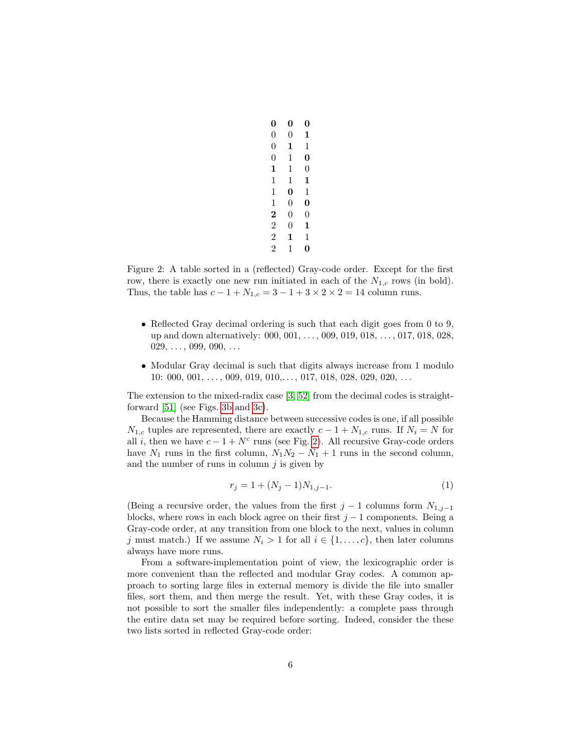<span id="page-5-0"></span>

| 0              | 0 | 0              |
|----------------|---|----------------|
| 0              | 0 | 1              |
| 0              | 1 | 1              |
| $\overline{0}$ | 1 | 0              |
| 1              | 1 | $\overline{0}$ |
| 1              | 1 | 1              |
| 1              | 0 | 1              |
| 1              | 0 | 0              |
| 2              | 0 | 0              |
| $\overline{2}$ | 0 | 1              |
| $\overline{2}$ | 1 | 1              |
| $\overline{2}$ | 1 |                |

Figure 2: A table sorted in a (reflected) Gray-code order. Except for the first row, there is exactly one new run initiated in each of the  $N_{1,c}$  rows (in bold). Thus, the table has  $c - 1 + N_{1,c} = 3 - 1 + 3 \times 2 \times 2 = 14$  column runs.

- Reflected Gray decimal ordering is such that each digit goes from 0 to 9, up and down alternatively: 000, 001, . . . , 009, 019, 018, . . . , 017, 018, 028,  $029, \ldots, 099, 090, \ldots$
- Modular Gray decimal is such that digits always increase from 1 modulo  $10: 000, 001, \ldots, 009, 019, 010, \ldots, 017, 018, 028, 029, 020, \ldots$

The extension to the mixed-radix case [\[3,](#page-28-6) [52\]](#page-31-4) from the decimal codes is straightforward [\[51\]](#page-31-5) (see Figs. [3b](#page-7-1) and [3c\)](#page-7-2).

Because the Hamming distance between successive codes is one, if all possible  $N_{1,c}$  tuples are represented, there are exactly  $c - 1 + N_{1,c}$  runs. If  $N_i = N$  for all i, then we have  $c - 1 + N^c$  runs (see Fig. [2\)](#page-5-0). All recursive Gray-code orders have  $N_1$  runs in the first column,  $N_1N_2 - N_1 + 1$  runs in the second column, and the number of runs in column  $j$  is given by

$$
r_j = 1 + (N_j - 1)N_{1,j-1}.\tag{1}
$$

(Being a recursive order, the values from the first  $j-1$  columns form  $N_{1,j-1}$ blocks, where rows in each block agree on their first  $j - 1$  components. Being a Gray-code order, at any transition from one block to the next, values in column j must match.) If we assume  $N_i > 1$  for all  $i \in \{1, ..., c\}$ , then later columns always have more runs.

From a software-implementation point of view, the lexicographic order is more convenient than the reflected and modular Gray codes. A common approach to sorting large files in external memory is divide the file into smaller files, sort them, and then merge the result. Yet, with these Gray codes, it is not possible to sort the smaller files independently: a complete pass through the entire data set may be required before sorting. Indeed, consider the these two lists sorted in reflected Gray-code order: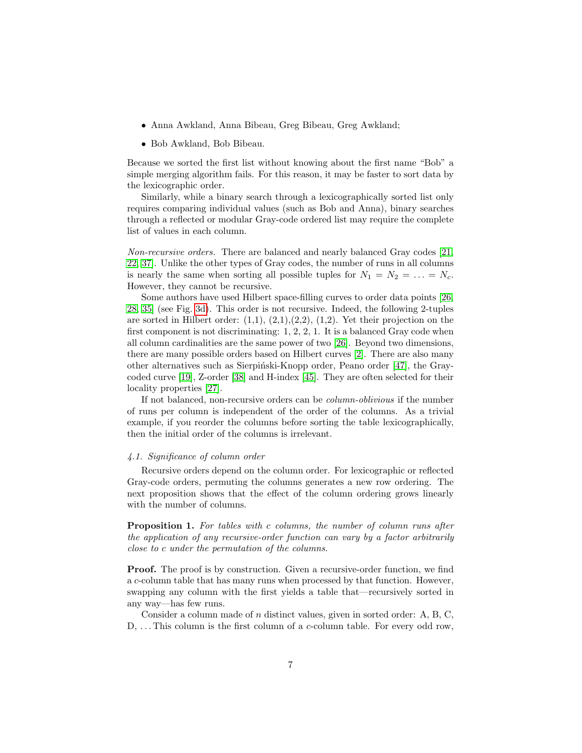- Anna Awkland, Anna Bibeau, Greg Bibeau, Greg Awkland;
- Bob Awkland, Bob Bibeau.

Because we sorted the first list without knowing about the first name "Bob" a simple merging algorithm fails. For this reason, it may be faster to sort data by the lexicographic order.

Similarly, while a binary search through a lexicographically sorted list only requires comparing individual values (such as Bob and Anna), binary searches through a reflected or modular Gray-code ordered list may require the complete list of values in each column.

Non-recursive orders. There are balanced and nearly balanced Gray codes [\[21,](#page-29-8) [22,](#page-29-9) [37\]](#page-30-5). Unlike the other types of Gray codes, the number of runs in all columns is nearly the same when sorting all possible tuples for  $N_1 = N_2 = \ldots = N_c$ . However, they cannot be recursive.

Some authors have used Hilbert space-filling curves to order data points [\[26,](#page-29-0) [28,](#page-29-10) [35\]](#page-30-6) (see Fig. [3d\)](#page-7-3). This order is not recursive. Indeed, the following 2-tuples are sorted in Hilbert order:  $(1,1), (2,1), (2,2), (1,2)$ . Yet their projection on the first component is not discriminating: 1, 2, 2, 1. It is a balanced Gray code when all column cardinalities are the same power of two [\[26\]](#page-29-0). Beyond two dimensions, there are many possible orders based on Hilbert curves [\[2\]](#page-27-1). There are also many other alternatives such as Sierpiński-Knopp order, Peano order [\[47\]](#page-31-6), the Graycoded curve [\[19\]](#page-29-11), Z-order [\[38\]](#page-30-7) and H-index [\[45\]](#page-30-8). They are often selected for their locality properties [\[27\]](#page-29-12).

If not balanced, non-recursive orders can be column-oblivious if the number of runs per column is independent of the order of the columns. As a trivial example, if you reorder the columns before sorting the table lexicographically, then the initial order of the columns is irrelevant.

#### <span id="page-6-0"></span>4.1. Significance of column order

Recursive orders depend on the column order. For lexicographic or reflected Gray-code orders, permuting the columns generates a new row ordering. The next proposition shows that the effect of the column ordering grows linearly with the number of columns.

Proposition 1. For tables with c columns, the number of column runs after the application of any recursive-order function can vary by a factor arbitrarily close to c under the permutation of the columns.

Proof. The proof is by construction. Given a recursive-order function, we find a c-column table that has many runs when processed by that function. However, swapping any column with the first yields a table that—recursively sorted in any way—has few runs.

Consider a column made of n distinct values, given in sorted order: A, B, C, D, ... This column is the first column of a *c*-column table. For every odd row,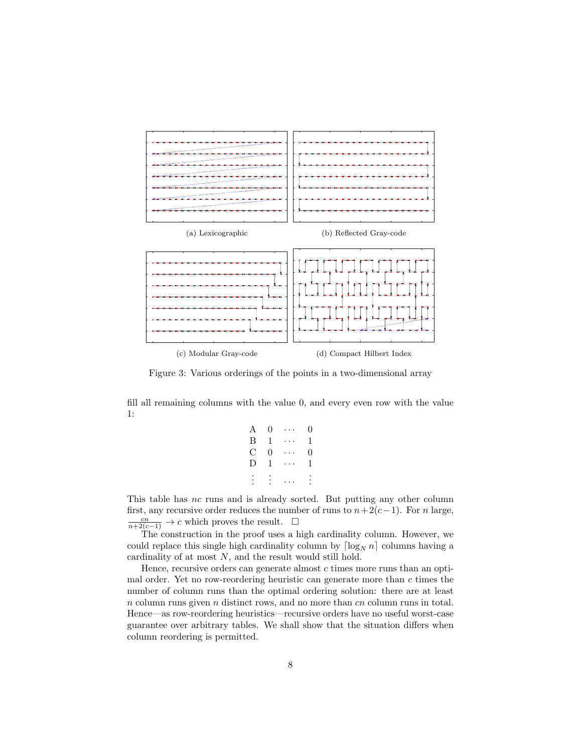<span id="page-7-3"></span><span id="page-7-2"></span><span id="page-7-1"></span><span id="page-7-0"></span>

Figure 3: Various orderings of the points in a two-dimensional array

fill all remaining columns with the value 0, and every even row with the value 1:

| A        | 0 | $\sim$ 10 $\sim$ 10 $\sim$ | 0        |
|----------|---|----------------------------|----------|
| Β        | 1 | .                          | 1        |
| C        | 0 | .                          | 0        |
| D        | 1 | .                          | 1        |
| $\vdots$ |   |                            | $\vdots$ |
|          |   |                            |          |

This table has nc runs and is already sorted. But putting any other column first, any recursive order reduces the number of runs to  $n+2(c-1)$ . For n large,  $\frac{cn}{n+2(c-1)} \to c$  which proves the result.  $\square$ 

The construction in the proof uses a high cardinality column. However, we could replace this single high cardinality column by  $\lceil \log_N n \rceil$  columns having a cardinality of at most N, and the result would still hold.

Hence, recursive orders can generate almost  $c$  times more runs than an optimal order. Yet no row-reordering heuristic can generate more than  $c$  times the number of column runs than the optimal ordering solution: there are at least  $n$  column runs given  $n$  distinct rows, and no more than  $cn$  column runs in total. Hence—as row-reordering heuristics—recursive orders have no useful worst-case guarantee over arbitrary tables. We shall show that the situation differs when column reordering is permitted.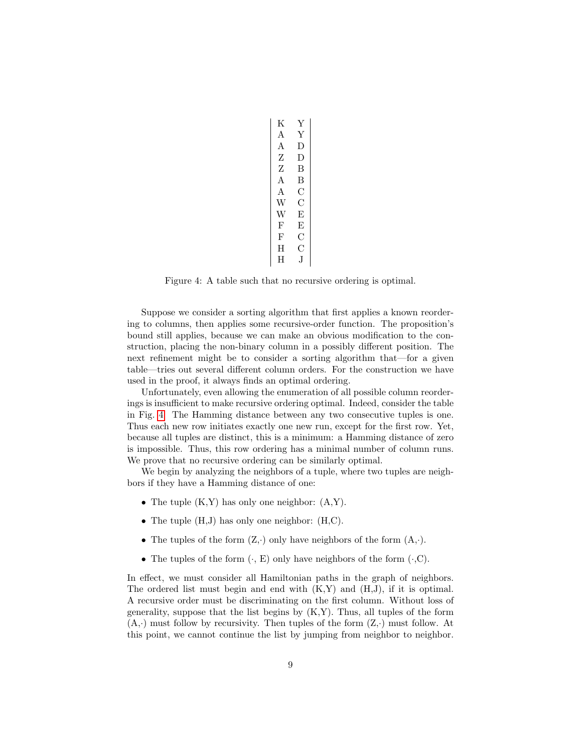<span id="page-8-0"></span>

| Κ | Y  |
|---|----|
| A | Y  |
| А | D  |
| Ζ | D  |
| Ζ | В  |
| A | В  |
| Α | С  |
| W | С  |
| W | E  |
| F | E  |
| F | C  |
| H | С  |
| H | .T |

Figure 4: A table such that no recursive ordering is optimal.

Suppose we consider a sorting algorithm that first applies a known reordering to columns, then applies some recursive-order function. The proposition's bound still applies, because we can make an obvious modification to the construction, placing the non-binary column in a possibly different position. The next refinement might be to consider a sorting algorithm that—for a given table—tries out several different column orders. For the construction we have used in the proof, it always finds an optimal ordering.

Unfortunately, even allowing the enumeration of all possible column reorderings is insufficient to make recursive ordering optimal. Indeed, consider the table in Fig. [4.](#page-8-0) The Hamming distance between any two consecutive tuples is one. Thus each new row initiates exactly one new run, except for the first row. Yet, because all tuples are distinct, this is a minimum: a Hamming distance of zero is impossible. Thus, this row ordering has a minimal number of column runs. We prove that no recursive ordering can be similarly optimal.

We begin by analyzing the neighbors of a tuple, where two tuples are neighbors if they have a Hamming distance of one:

- The tuple  $(K,Y)$  has only one neighbor:  $(A,Y)$ .
- The tuple  $(H,J)$  has only one neighbor:  $(H,C)$ .
- The tuples of the form  $(Z, \cdot)$  only have neighbors of the form  $(A, \cdot)$ .
- The tuples of the form  $(\cdot, E)$  only have neighbors of the form  $(\cdot, C)$ .

In effect, we must consider all Hamiltonian paths in the graph of neighbors. The ordered list must begin and end with  $(K,Y)$  and  $(H,J)$ , if it is optimal. A recursive order must be discriminating on the first column. Without loss of generality, suppose that the list begins by  $(K, Y)$ . Thus, all tuples of the form  $(A, \cdot)$  must follow by recursivity. Then tuples of the form  $(Z, \cdot)$  must follow. At this point, we cannot continue the list by jumping from neighbor to neighbor.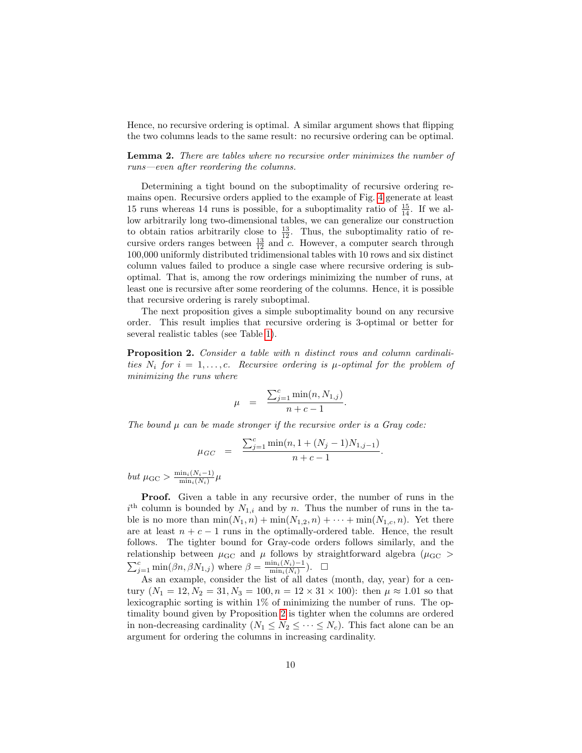Hence, no recursive ordering is optimal. A similar argument shows that flipping the two columns leads to the same result: no recursive ordering can be optimal.

Lemma 2. There are tables where no recursive order minimizes the number of runs—even after reordering the columns.

Determining a tight bound on the suboptimality of recursive ordering remains open. Recursive orders applied to the example of Fig. [4](#page-8-0) generate at least 15 runs whereas 14 runs is possible, for a suboptimality ratio of  $\frac{15}{14}$ . If we allow arbitrarily long two-dimensional tables, we can generalize our construction to obtain ratios arbitrarily close to  $\frac{13}{12}$ . Thus, the suboptimality ratio of recursive orders ranges between  $\frac{13}{12}$  and c. However, a computer search through 100,000 uniformly distributed tridimensional tables with 10 rows and six distinct column values failed to produce a single case where recursive ordering is suboptimal. That is, among the row orderings minimizing the number of runs, at least one is recursive after some reordering of the columns. Hence, it is possible that recursive ordering is rarely suboptimal.

The next proposition gives a simple suboptimality bound on any recursive order. This result implies that recursive ordering is 3-optimal or better for several realistic tables (see Table [1\)](#page-21-0).

<span id="page-9-0"></span>Proposition 2. Consider a table with n distinct rows and column cardinalities  $N_i$  for  $i = 1, \ldots, c$ . Recursive ordering is  $\mu$ -optimal for the problem of minimizing the runs where

$$
\mu = \frac{\sum_{j=1}^{c} \min(n, N_{1,j})}{n + c - 1}.
$$

The bound  $\mu$  can be made stronger if the recursive order is a Gray code:

$$
\mu_{GC} = \frac{\sum_{j=1}^{c} \min(n, 1 + (N_j - 1)N_{1,j-1})}{n + c - 1}.
$$

but  $\mu$ <sub>GC</sub> >  $\frac{\min_i(N_i-1)}{\min_i(N_i)}$  $\frac{\min_i(N_i-1)}{\min_i(N_i)}\mu$ 

Proof. Given a table in any recursive order, the number of runs in the  $i<sup>th</sup>$  column is bounded by  $N_{1,i}$  and by n. Thus the number of runs in the table is no more than  $\min(N_1, n) + \min(N_{1,2}, n) + \cdots + \min(N_{1,c}, n)$ . Yet there are at least  $n + c - 1$  runs in the optimally-ordered table. Hence, the result follows. The tighter bound for Gray-code orders follows similarly, and the relationship between  $\mu$ <sub>GC</sub> and  $\mu$  follows by straightforward algebra ( $\mu$ <sub>GC</sub> >  $\sum_{j=1}^{c} \min(\beta n, \beta N_{1,j})$  where  $\beta = \frac{\min_i(N_i)-1}{\min_i(N_i)}$  $\frac{\min_i(N_i)-1}{\min_i(N_i)}$ .  $\Box$ 

As an example, consider the list of all dates (month, day, year) for a century  $(N_1 = 12, N_2 = 31, N_3 = 100, n = 12 \times 31 \times 100)$ : then  $\mu \approx 1.01$  so that lexicographic sorting is within  $1\%$  of minimizing the number of runs. The optimality bound given by Proposition [2](#page-9-0) is tighter when the columns are ordered in non-decreasing cardinality  $(N_1 \leq N_2 \leq \cdots \leq N_c)$ . This fact alone can be an argument for ordering the columns in increasing cardinality.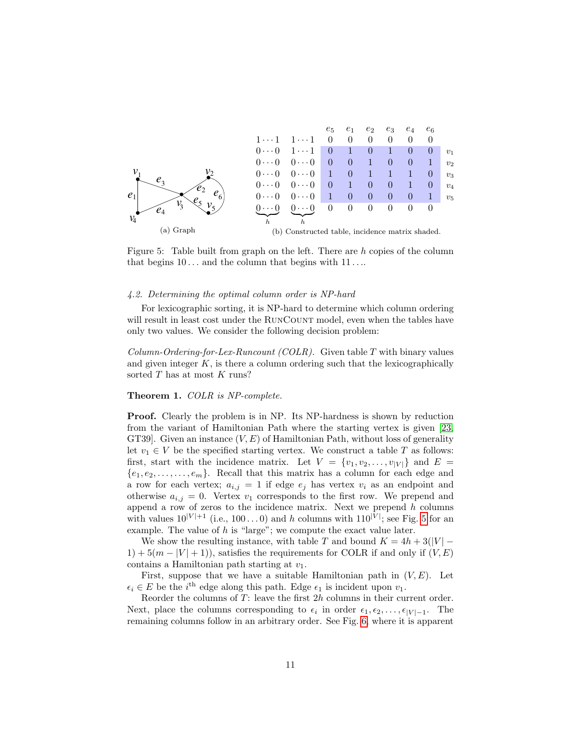<span id="page-10-1"></span>

Figure 5: Table built from graph on the left. There are  $h$  copies of the column that begins  $10 \ldots$  and the column that begins with  $11 \ldots$ 

#### <span id="page-10-0"></span>4.2. Determining the optimal column order is NP-hard

For lexicographic sorting, it is NP-hard to determine which column ordering will result in least cost under the RUNCOUNT model, even when the tables have only two values. We consider the following decision problem:

Column-Ordering-for-Lex-Runcount (COLR). Given table  $T$  with binary values and given integer  $K$ , is there a column ordering such that the lexicographically sorted T has at most K runs?

#### Theorem 1. COLR is NP-complete.

Proof. Clearly the problem is in NP. Its NP-hardness is shown by reduction from the variant of Hamiltonian Path where the starting vertex is given [\[23,](#page-29-5) GT39. Given an instance  $(V, E)$  of Hamiltonian Path, without loss of generality let  $v_1 \in V$  be the specified starting vertex. We construct a table T as follows: first, start with the incidence matrix. Let  $V = \{v_1, v_2, \ldots, v_{|V|}\}\$ and  $E =$  ${e_1, e_2, \ldots, e_m}$ . Recall that this matrix has a column for each edge and a row for each vertex;  $a_{i,j} = 1$  if edge  $e_j$  has vertex  $v_i$  as an endpoint and otherwise  $a_{i,j} = 0$ . Vertex  $v_1$  corresponds to the first row. We prepend and append a row of zeros to the incidence matrix. Next we prepend  $h$  columns with values  $10^{|V|+1}$  (i.e.,  $100...0$ ) and h columns with  $110^{|V|}$ ; see Fig. [5](#page-10-1) for an example. The value of  $h$  is "large"; we compute the exact value later.

We show the resulting instance, with table T and bound  $K = 4h + 3(|V| - 1)$  $1+5(m-|V|+1)$ , satisfies the requirements for COLR if and only if  $(V, E)$ contains a Hamiltonian path starting at  $v_1$ .

First, suppose that we have a suitable Hamiltonian path in  $(V, E)$ . Let  $\epsilon_i \in E$  be the i<sup>th</sup> edge along this path. Edge  $\epsilon_1$  is incident upon  $v_1$ .

Reorder the columns of  $T$ : leave the first  $2h$  columns in their current order. Next, place the columns corresponding to  $\epsilon_i$  in order  $\epsilon_1, \epsilon_2, \ldots, \epsilon_{|V|-1}$ . The remaining columns follow in an arbitrary order. See Fig. [6,](#page-11-0) where it is apparent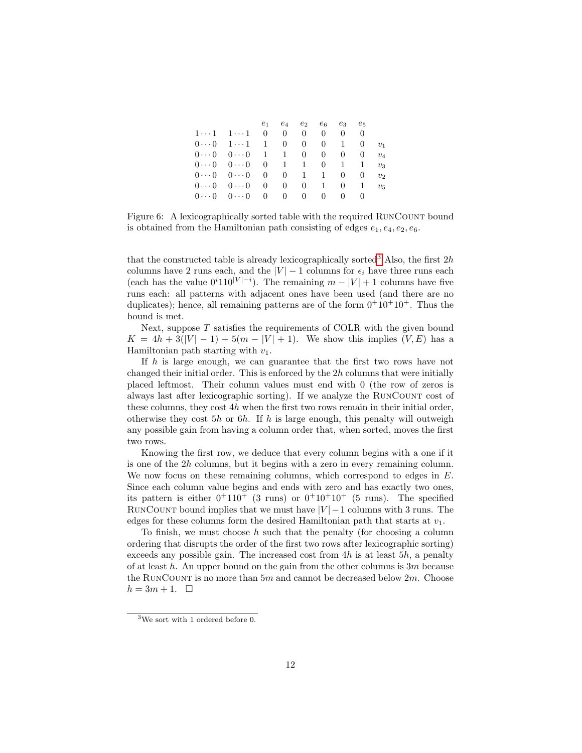<span id="page-11-0"></span>

|                                                               | $e_1$ $e_4$    | $e_2$          | $e_6$          | $e_3$        | $e_{5}$  |         |
|---------------------------------------------------------------|----------------|----------------|----------------|--------------|----------|---------|
| $1 \cdots 1 \quad 1 \cdots 1 \quad 0$                         | $\overline{0}$ | $\Omega$       | $\theta$       | 0            | 0        |         |
| $0 \cdots 0 \quad 1 \cdots 1 \quad 1$                         | $\overline{0}$ | $\overline{0}$ | $\overline{0}$ | $\mathbf{1}$ | $\theta$ | $v_1$   |
| $0 \cdots 0 \quad 0 \cdots 0 \quad 1 \quad 1 \quad 0$         |                |                | $\overline{0}$ | $\Omega$     | $\theta$ | $v_4$   |
| $0 \cdots 0 \quad 0 \cdots 0 \quad 0 \quad 1 \quad 1 \quad 0$ |                |                |                | $\mathbf{1}$ | - 1      | $v_3$   |
| $0 \cdots 0$ $0 \cdots 0$ 0 0 1 1                             |                |                |                | $\Omega$     | $\theta$ | $v_2$   |
| $0 \cdots 0 \quad 0 \cdots 0 \quad 0$                         | $\overline{0}$ | $\overline{0}$ | $\mathbf{1}$   | $\theta$     | -1       | $v_{5}$ |
| $0 \cdots 0 \quad 0 \cdots 0 \quad 0$                         | $\overline{0}$ | $\overline{0}$ | $\theta$       | $\theta$     | $\cup$   |         |

Figure 6: A lexicographically sorted table with the required RunCount bound is obtained from the Hamiltonian path consisting of edges  $e_1, e_4, e_2, e_6$ .

that the constructed table is already lexicographically sorted<sup>[3](#page-11-1)</sup> Also, the first  $2h$ columns have 2 runs each, and the  $|V| - 1$  columns for  $\epsilon_i$  have three runs each (each has the value  $0^i110^{|V|-i}$ ). The remaining  $m - |V| + 1$  columns have five runs each: all patterns with adjacent ones have been used (and there are no duplicates); hence, all remaining patterns are of the form  $0^+10^+10^+$ . Thus the bound is met.

Next, suppose  $T$  satisfies the requirements of COLR with the given bound  $K = 4h + 3(|V| - 1) + 5(m - |V| + 1)$ . We show this implies  $(V, E)$  has a Hamiltonian path starting with  $v_1$ .

If h is large enough, we can guarantee that the first two rows have not changed their initial order. This is enforced by the  $2h$  columns that were initially placed leftmost. Their column values must end with 0 (the row of zeros is always last after lexicographic sorting). If we analyze the RunCount cost of these columns, they cost  $4h$  when the first two rows remain in their initial order, otherwise they cost  $5h$  or  $6h$ . If h is large enough, this penalty will outweigh any possible gain from having a column order that, when sorted, moves the first two rows.

Knowing the first row, we deduce that every column begins with a one if it is one of the 2h columns, but it begins with a zero in every remaining column. We now focus on these remaining columns, which correspond to edges in E. Since each column value begins and ends with zero and has exactly two ones, its pattern is either  $0^+110^+$  (3 runs) or  $0^+10^+10^+$  (5 runs). The specified RUNCOUNT bound implies that we must have  $|V| - 1$  columns with 3 runs. The edges for these columns form the desired Hamiltonian path that starts at  $v_1$ .

To finish, we must choose  $h$  such that the penalty (for choosing a column ordering that disrupts the order of the first two rows after lexicographic sorting) exceeds any possible gain. The increased cost from  $4h$  is at least  $5h$ , a penalty of at least h. An upper bound on the gain from the other columns is  $3m$  because the RUNCOUNT is no more than  $5m$  and cannot be decreased below  $2m$ . Choose  $h = 3m + 1.$ 

<span id="page-11-1"></span><sup>3</sup>We sort with 1 ordered before 0.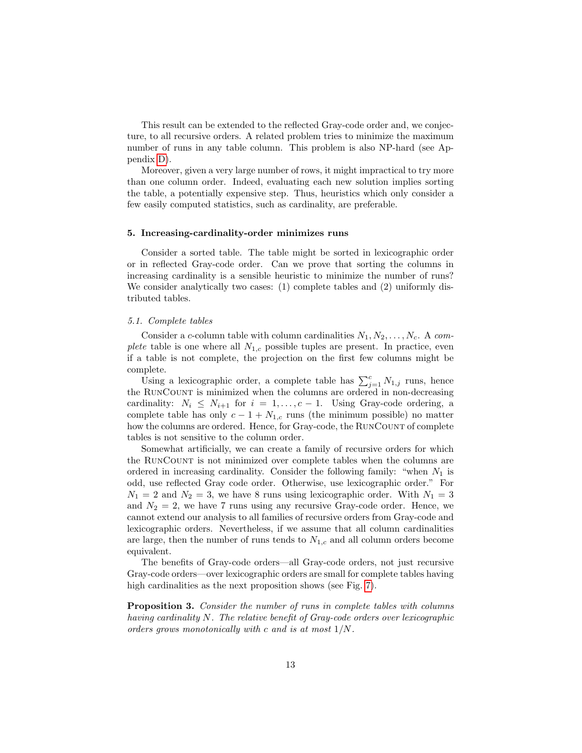This result can be extended to the reflected Gray-code order and, we conjecture, to all recursive orders. A related problem tries to minimize the maximum number of runs in any table column. This problem is also NP-hard (see Appendix [D\)](#page-35-0).

Moreover, given a very large number of rows, it might impractical to try more than one column order. Indeed, evaluating each new solution implies sorting the table, a potentially expensive step. Thus, heuristics which only consider a few easily computed statistics, such as cardinality, are preferable.

#### <span id="page-12-0"></span>5. Increasing-cardinality-order minimizes runs

Consider a sorted table. The table might be sorted in lexicographic order or in reflected Gray-code order. Can we prove that sorting the columns in increasing cardinality is a sensible heuristic to minimize the number of runs? We consider analytically two cases: (1) complete tables and (2) uniformly distributed tables.

#### <span id="page-12-1"></span>5.1. Complete tables

Consider a c-column table with column cardinalities  $N_1, N_2, \ldots, N_c$ . A complete table is one where all  $N_{1,c}$  possible tuples are present. In practice, even if a table is not complete, the projection on the first few columns might be complete.

Using a lexicographic order, a complete table has  $\sum_{j=1}^{c} N_{1,j}$  runs, hence the RUNCOUNT is minimized when the columns are ordered in non-decreasing cardinality:  $N_i \leq N_{i+1}$  for  $i = 1, ..., c-1$ . Using Gray-code ordering, a complete table has only  $c - 1 + N_{1,c}$  runs (the minimum possible) no matter how the columns are ordered. Hence, for Gray-code, the RUNCOUNT of complete tables is not sensitive to the column order.

Somewhat artificially, we can create a family of recursive orders for which the RunCount is not minimized over complete tables when the columns are ordered in increasing cardinality. Consider the following family: "when  $N_1$  is odd, use reflected Gray code order. Otherwise, use lexicographic order." For  $N_1 = 2$  and  $N_2 = 3$ , we have 8 runs using lexicographic order. With  $N_1 = 3$ and  $N_2 = 2$ , we have 7 runs using any recursive Gray-code order. Hence, we cannot extend our analysis to all families of recursive orders from Gray-code and lexicographic orders. Nevertheless, if we assume that all column cardinalities are large, then the number of runs tends to  $N_{1,c}$  and all column orders become equivalent.

The benefits of Gray-code orders—all Gray-code orders, not just recursive Gray-code orders—over lexicographic orders are small for complete tables having high cardinalities as the next proposition shows (see Fig. [7\)](#page-13-1).

Proposition 3. Consider the number of runs in complete tables with columns having cardinality N. The relative benefit of Gray-code orders over lexicographic orders grows monotonically with c and is at most 1/N.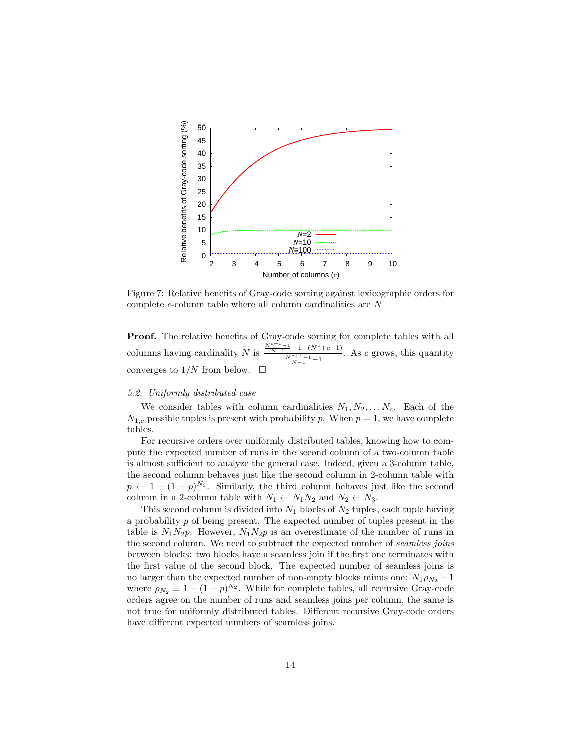<span id="page-13-1"></span>

Figure 7: Relative benefits of Gray-code sorting against lexicographic orders for complete c-column table where all column cardinalities are N

**Proof.** The relative benefits of Gray-code sorting for complete tables with all columns having cardinality N is  $\frac{\frac{N^{c+1}-1}{N-1}-1-(N^c+c-1)}{\frac{N^{c+1}-1}{N-1}-1}$ . As c grows, this quantity converges to  $1/N$  from below.

### <span id="page-13-0"></span>5.2. Uniformly distributed case

We consider tables with column cardinalities  $N_1, N_2, \ldots N_c$ . Each of the  $N_{1,c}$  possible tuples is present with probability p. When  $p = 1$ , we have complete tables.

For recursive orders over uniformly distributed tables, knowing how to compute the expected number of runs in the second column of a two-column table is almost sufficient to analyze the general case. Indeed, given a 3-column table, the second column behaves just like the second column in 2-column table with  $p \leftarrow 1 - (1 - p)^{N_3}$ . Similarly, the third column behaves just like the second column in a 2-column table with  $N_1 \leftarrow N_1 N_2$  and  $N_2 \leftarrow N_3$ .

This second column is divided into  $N_1$  blocks of  $N_2$  tuples, each tuple having a probability  $p$  of being present. The expected number of tuples present in the table is  $N_1N_2p$ . However,  $N_1N_2p$  is an overestimate of the number of runs in the second column. We need to subtract the expected number of seamless joins between blocks: two blocks have a seamless join if the first one terminates with the first value of the second block. The expected number of seamless joins is no larger than the expected number of non-empty blocks minus one:  $N_1 \rho_{N_2} - 1$ where  $\rho_{N_2} \equiv 1 - (1 - p)^{N_2}$ . While for complete tables, all recursive Gray-code orders agree on the number of runs and seamless joins per column, the same is not true for uniformly distributed tables. Different recursive Gray-code orders have different expected numbers of seamless joins.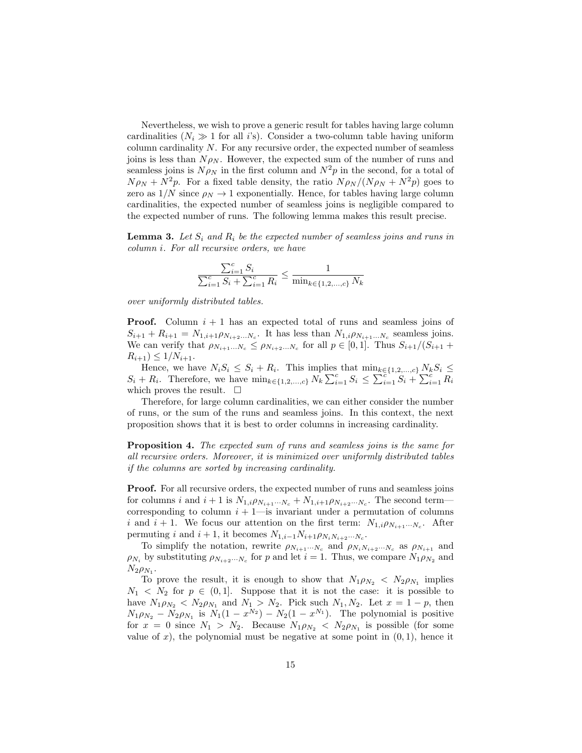Nevertheless, we wish to prove a generic result for tables having large column cardinalities  $(N_i \gg 1$  for all i's). Consider a two-column table having uniform column cardinality N. For any recursive order, the expected number of seamless joins is less than  $N \rho_N$ . However, the expected sum of the number of runs and seamless joins is  $N \rho_N$  in the first column and  $N^2 p$  in the second, for a total of  $N \rho_N + N^2 p$ . For a fixed table density, the ratio  $N \rho_N / (N \rho_N + N^2 p)$  goes to zero as  $1/N$  since  $\rho_N \to 1$  exponentially. Hence, for tables having large column cardinalities, the expected number of seamless joins is negligible compared to the expected number of runs. The following lemma makes this result precise.

<span id="page-14-0"></span>**Lemma 3.** Let  $S_i$  and  $R_i$  be the expected number of seamless joins and runs in column i. For all recursive orders, we have

$$
\frac{\sum_{i=1}^{c} S_i}{\sum_{i=1}^{c} S_i + \sum_{i=1}^{c} R_i} \le \frac{1}{\min_{k \in \{1, 2, ..., c\}} N_k}
$$

over uniformly distributed tables.

**Proof.** Column  $i + 1$  has an expected total of runs and seamless joins of  $S_{i+1} + R_{i+1} = N_{1,i+1} \rho_{N_{i+2}...N_c}$ . It has less than  $N_{1,i} \rho_{N_{i+1}...N_c}$  seamless joins. We can verify that  $\rho_{N_{i+1}...N_c} \leq \rho_{N_{i+2}...N_c}$  for all  $p \in [0,1]$ . Thus  $S_{i+1}/(S_{i+1} +$  $R_{i+1}$ )  $\leq 1/N_{i+1}$ .

Hence, we have  $N_i S_i \leq S_i + R_i$ . This implies that  $\min_{k \in \{1,2,\dots,c\}} N_k S_i \leq$  $S_i + R_i$ . Therefore, we have  $\min_{k \in \{1,2,\dots,c\}} N_k \sum_{i=1}^c S_i \leq \sum_{i=1}^{\infty} S_i + \sum_{i=1}^c R_i$ which proves the result.  $\square$ 

Therefore, for large column cardinalities, we can either consider the number of runs, or the sum of the runs and seamless joins. In this context, the next proposition shows that it is best to order columns in increasing cardinality.

<span id="page-14-1"></span>Proposition 4. The expected sum of runs and seamless joins is the same for all recursive orders. Moreover, it is minimized over uniformly distributed tables if the columns are sorted by increasing cardinality.

Proof. For all recursive orders, the expected number of runs and seamless joins for columns i and  $i + 1$  is  $N_{1,i} \rho_{N_{i+1}\cdots N_c} + N_{1,i+1} \rho_{N_{i+2}\cdots N_c}$ . The second term corresponding to column  $i + 1$ —is invariant under a permutation of columns i and  $i + 1$ . We focus our attention on the first term:  $N_{1,i}\rho_{N_{i+1}\cdots N_c}$ . After permuting i and  $i + 1$ , it becomes  $N_{1,i-1}N_{i+1}\rho_{N_iN_{i+2}\cdots N_c}$ .

To simplify the notation, rewrite  $\rho_{N_{i+1}\cdots N_c}$  and  $\rho_{N_i N_{i+2}\cdots N_c}$  as  $\rho_{N_{i+1}}$  and  $\rho_{N_i}$  by substituting  $\rho_{N_{i+2}\cdots N_c}$  for p and let  $i=1$ . Thus, we compare  $N_1\rho_{N_2}$  and  $N_2 \rho_{N_1}$ .

To prove the result, it is enough to show that  $N_1 \rho_{N_2} < N_2 \rho_{N_1}$  implies  $N_1 \leq N_2$  for  $p \in (0,1]$ . Suppose that it is not the case: it is possible to have  $N_1 \rho_{N_2} < N_2 \rho_{N_1}$  and  $N_1 > N_2$ . Pick such  $N_1, N_2$ . Let  $x = 1 - p$ , then  $N_1 \rho_{N_2} - N_2 \rho_{N_1}$  is  $N_1(1 - x^{N_2}) - N_2(1 - x^{N_1})$ . The polynomial is positive for  $x = 0$  since  $N_1 > N_2$ . Because  $N_1 \rho_{N_2} < N_2 \rho_{N_1}$  is possible (for some value of x), the polynomial must be negative at some point in  $(0, 1)$ , hence it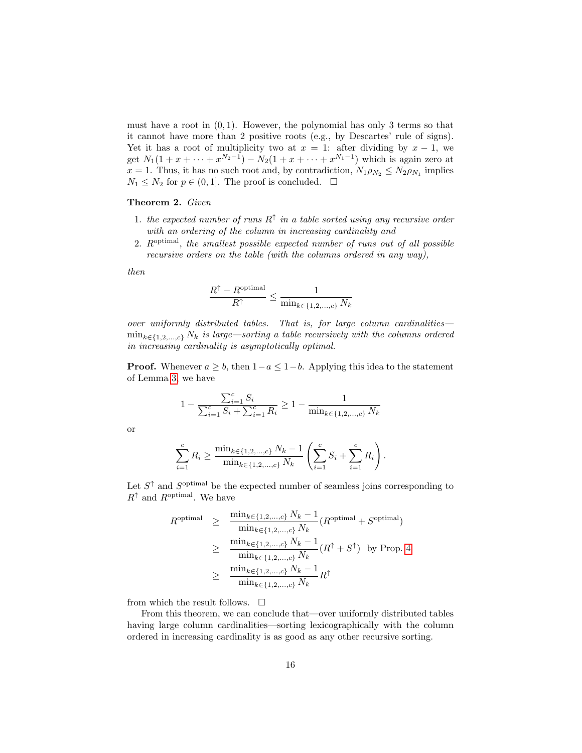must have a root in  $(0, 1)$ . However, the polynomial has only 3 terms so that it cannot have more than 2 positive roots (e.g., by Descartes' rule of signs). Yet it has a root of multiplicity two at  $x = 1$ : after dividing by  $x - 1$ , we get  $N_1(1 + x + \cdots + x^{N_2-1}) - N_2(1 + x + \cdots + x^{N_1-1})$  which is again zero at  $x = 1$ . Thus, it has no such root and, by contradiction,  $N_1 \rho_{N_2} \leq N_2 \rho_{N_1}$  implies  $N_1 \leq N_2$  for  $p \in (0, 1]$ . The proof is concluded.  $\Box$ 

## <span id="page-15-0"></span>Theorem 2. Given

- 1. the expected number of runs  $R^{\uparrow}$  in a table sorted using any recursive order with an ordering of the column in increasing cardinality and
- 2. R<sup>optimal</sup>, the smallest possible expected number of runs out of all possible recursive orders on the table (with the columns ordered in any way),

then

$$
\frac{R^{\uparrow} - R^{\text{optimal}}}{R^{\uparrow}} \le \frac{1}{\min_{k \in \{1, 2, ..., c\}} N_k}
$$

over uniformly distributed tables. That is, for large column cardinalities—  $\min_{k \in \{1,2,\ldots,c\}} N_k$  is large—sorting a table recursively with the columns ordered in increasing cardinality is asymptotically optimal.

**Proof.** Whenever  $a \geq b$ , then  $1-a \leq 1-b$ . Applying this idea to the statement of Lemma [3,](#page-14-0) we have

$$
1 - \frac{\sum_{i=1}^{c} S_i}{\sum_{i=1}^{c} S_i + \sum_{i=1}^{c} R_i} \ge 1 - \frac{1}{\min_{k \in \{1, 2, ..., c\}} N_k}
$$

or

$$
\sum_{i=1}^{c} R_i \ge \frac{\min_{k \in \{1, 2, \dots, c\}} N_k - 1}{\min_{k \in \{1, 2, \dots, c\}} N_k} \left( \sum_{i=1}^{c} S_i + \sum_{i=1}^{c} R_i \right).
$$

Let  $S^{\uparrow}$  and  $S^{\text{optimal}}$  be the expected number of seamless joins corresponding to  $R^\uparrow$  and  $R^{\rm optimal}.$  We have

$$
R^{\text{optimal}} \geq \frac{\min_{k \in \{1, 2, ..., c\}} N_k - 1}{\min_{k \in \{1, 2, ..., c\}} N_k} (R^{\text{optimal}} + S^{\text{optimal}})
$$
  

$$
\geq \frac{\min_{k \in \{1, 2, ..., c\}} N_k - 1}{\min_{k \in \{1, 2, ..., c\}} N_k} (R^{\uparrow} + S^{\uparrow}) \text{ by Prop. 4}
$$
  

$$
\geq \frac{\min_{k \in \{1, 2, ..., c\}} N_k - 1}{\min_{k \in \{1, 2, ..., c\}} N_k} R^{\uparrow}
$$

from which the result follows.  $\square$ 

From this theorem, we can conclude that—over uniformly distributed tables having large column cardinalities—sorting lexicographically with the column ordered in increasing cardinality is as good as any other recursive sorting.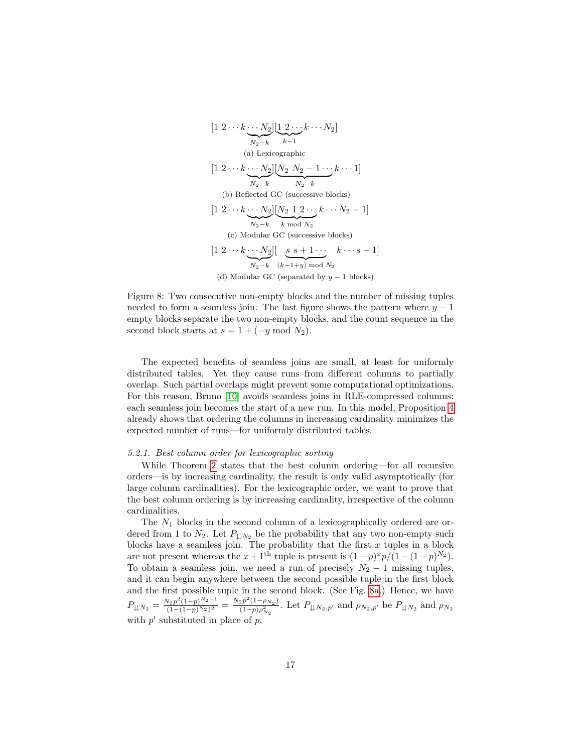<span id="page-16-2"></span><span id="page-16-1"></span>
$$
[1 \ 2 \cdots k \cdots N_2] \underbrace{[1 \ 2 \cdots k \cdots N_2]}_{N_2-k} \underbrace{k-1}
$$
\n(a) Lexicographic\n
$$
[1 \ 2 \cdots k \cdots N_2] \underbrace{[N_2 \ N_2 - 1 \cdots k \cdots 1]}_{N_2-k}
$$
\n(b) Reflected GC (successive blocks)\n
$$
[1 \ 2 \cdots k \cdots N_2] \underbrace{[N_2 \ 1 \ 2 \cdots k \cdots N_2 - 1]}_{N_2-k} \underbrace{[N_2 \ 1 \ 2 \cdots k \cdots N_2 - 1]}_{k \mod N_2}
$$
\n(c) Modular GC (successive blocks)\n
$$
[1 \ 2 \cdots k \cdots N_2] \underbrace{[g \ s+1 \cdots k \cdots s-1]}_{N_2-k} \underbrace{[g \ s+1 \cdots k \cdots s-1]}_{N_2-k} \underbrace{[g \ s+1 \cdots k \cdots s-1]}_{N_2-k}
$$
\n(d) Modular GC (separated by  $y-1$  blocks)

Figure 8: Two consecutive non-empty blocks and the number of missing tuples needed to form a seamless join. The last figure shows the pattern where  $y - 1$ empty blocks separate the two non-empty blocks, and the count sequence in the second block starts at  $s = 1 + (-y \mod N_2)$ .

The expected benefits of seamless joins are small, at least for uniformly distributed tables. Yet they cause runs from different columns to partially overlap. Such partial overlaps might prevent some computational optimizations. For this reason, Bruno [\[10\]](#page-28-8) avoids seamless joins in RLE-compressed columns: each seamless join becomes the start of a new run. In this model, Proposition [4](#page-14-1) already shows that ordering the columns in increasing cardinality minimizes the expected number of runs—for uniformly distributed tables.

## <span id="page-16-0"></span>5.2.1. Best column order for lexicographic sorting

While Theorem [2](#page-15-0) states that the best column ordering—for all recursive orders—is by increasing cardinality, the result is only valid asymptotically (for large column cardinalities). For the lexicographic order, we want to prove that the best column ordering is by increasing cardinality, irrespective of the column cardinalities.

The  $N_1$  blocks in the second column of a lexicographically ordered are ordered from 1 to  $N_2$ . Let  $P_{\downarrow\downarrow N_2}$  be the probability that any two non-empty such blocks have a seamless join. The probability that the first  $x$  tuples in a block are not present whereas the  $x+1$ <sup>th</sup> tuple is present is  $(1-p)^{x}p/(1-(1-p)^{N_2})$ . To obtain a seamless join, we need a run of precisely  $N_2 - 1$  missing tuples, and it can begin anywhere between the second possible tuple in the first block and the first possible tuple in the second block. (See Fig. [8a.](#page-16-1)) Hence, we have  $P_{\downarrow\downarrow N_2} = \frac{N_2 p^2 (1-p)^{N_2-1}}{(1-(1-p)^{N_2})^2}$  $\frac{N_2p^2(1-p)^{N_2-1}}{(1-(1-p)^{N_2})^2} = \frac{N_2p^2(1-\rho_{N_2})}{(1-p)\rho_{N_2}^2}$  $\frac{(2p)(1-p_{N_2})}{(1-p)\rho_{N_2}^2}$ . Let  $P_{\downarrow\downarrow N_2,p'}$  and  $\rho_{N_2,p'}$  be  $P_{\downarrow\downarrow N_2}$  and  $\rho_{N_2,p'}$ with  $p'$  substituted in place of  $p$ .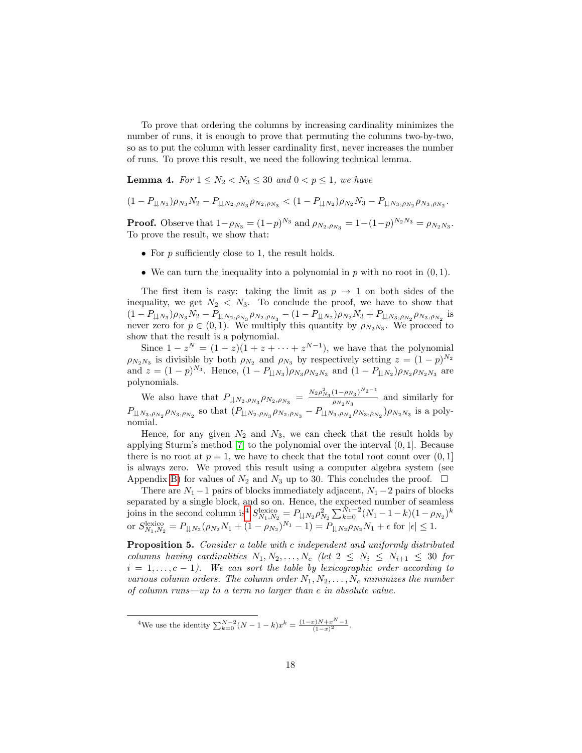To prove that ordering the columns by increasing cardinality minimizes the number of runs, it is enough to prove that permuting the columns two-by-two, so as to put the column with lesser cardinality first, never increases the number of runs. To prove this result, we need the following technical lemma.

<span id="page-17-1"></span>**Lemma 4.** For  $1 \leq N_2 < N_3 \leq 30$  and  $0 < p \leq 1$ , we have

$$
(1 - P_{\downarrow\downarrow N_3})\rho_{N_3}N_2 - P_{\downarrow\downarrow N_2, \rho_{N_3}}\rho_{N_2, \rho_{N_3}} < (1 - P_{\downarrow\downarrow N_2})\rho_{N_2}N_3 - P_{\downarrow\downarrow N_3, \rho_{N_2}}\rho_{N_3, \rho_{N_2}}.
$$

**Proof.** Observe that  $1-\rho_{N_3} = (1-p)^{N_3}$  and  $\rho_{N_2,\rho_{N_3}} = 1-(1-p)^{N_2N_3} = \rho_{N_2N_3}$ . To prove the result, we show that:

- For  $p$  sufficiently close to 1, the result holds.
- We can turn the inequality into a polynomial in  $p$  with no root in  $(0, 1)$ .

The first item is easy: taking the limit as  $p \to 1$  on both sides of the inequality, we get  $N_2 < N_3$ . To conclude the proof, we have to show that  $(1 - P_{\downarrow\downarrow N_3}) \rho_{N_3} N_2 - P_{\downarrow\downarrow N_2, \rho_{N_3}} \rho_{N_2, \rho_{N_3}} - (1 - P_{\downarrow\downarrow N_2}) \rho_{N_2} N_3 + P_{\downarrow\downarrow N_3, \rho_{N_2}} \rho_{N_3, \rho_{N_2}}$  is never zero for  $p \in (0,1)$ . We multiply this quantity by  $\rho_{N_2N_3}$ . We proceed to show that the result is a polynomial.

Since  $1-z^N = (1-z)(1+z+\cdots+z^{N-1})$ , we have that the polynomial  $\rho_{N_2 N_3}$  is divisible by both  $\rho_{N_2}$  and  $\rho_{N_3}$  by respectively setting  $z = (1-p)^{N_2}$ and  $z = (1-p)^{N_3}$ . Hence,  $(1 - P_{\downarrow \downarrow N_3}) \rho_{N_3} \rho_{N_2 N_3}$  and  $(1 - P_{\downarrow \downarrow N_2}) \rho_{N_2} \rho_{N_2 N_3}$  are polynomials.

We also have that  $P_{\downarrow\downarrow N_2, \rho_{N_3}} \rho_{N_2, \rho_{N_3}} = \frac{N_2 \rho_{N_3}^2 (1 - \rho_{N_3})^{N_2 - 1}}{\rho_{N_2 N_3}}$  $\frac{\sqrt{P_{N_3}}}{P_{N_2N_3}}$  and similarly for  $P_{\downarrow\downarrow N_3,\rho_{N_2}}\rho_{N_3,\rho_{N_2}}$  so that  $(P_{\downarrow\downarrow N_2,\rho_{N_3}}\rho_{N_2,\rho_{N_3}}-P_{\downarrow\downarrow N_3,\rho_{N_2}}\rho_{N_3,\rho_{N_2}})\rho_{N_2N_3}$  is a polynomial.

Hence, for any given  $N_2$  and  $N_3$ , we can check that the result holds by applying Sturm's method [\[7\]](#page-28-9) to the polynomial over the interval (0, 1]. Because there is no root at  $p = 1$ , we have to check that the total root count over  $(0, 1]$ is always zero. We proved this result using a computer algebra system (see Appendix [B\)](#page-33-1) for values of  $N_2$  and  $N_3$  up to 30. This concludes the proof.  $\Box$ 

<span id="page-17-2"></span>There are  $N_1 - 1$  pairs of blocks immediately adjacent,  $N_1 - 2$  pairs of blocks separated by a single block, and so on. Hence, the expected number of seamless joins in the second column is<sup>[4](#page-17-0)</sup>  $S_{N_1,N_2}^{\text{lexico}} = P_{\downarrow\downarrow N_2} \rho_{N_2}^2 \sum_{k=0}^{\tilde{N}_1-2} (N_1-1-k)(1-\rho_{N_2})^k$ or  $S_{N_1,N_2}^{\text{lexico}} = P_{\downarrow\downarrow N_2} (\rho_{N_2} N_1 + (1 - \rho_{N_2})^{N_1} - 1) = P_{\downarrow\downarrow N_2} \rho_{N_2} N_1 + \epsilon$  for  $|\epsilon| \leq 1$ .

Proposition 5. Consider a table with c independent and uniformly distributed columns having cardinalities  $N_1, N_2, \ldots, N_c$  (let  $2 \leq N_i \leq N_{i+1} \leq 30$  for  $i = 1, \ldots, c - 1$ . We can sort the table by lexicographic order according to various column orders. The column order  $N_1, N_2, \ldots, N_c$  minimizes the number of column runs—up to a term no larger than c in absolute value.

<span id="page-17-0"></span><sup>&</sup>lt;sup>4</sup>We use the identity  $\sum_{k=0}^{N-2} (N-1-k)x^k = \frac{(1-x)N+x^N-1}{(1-x)^2}$ .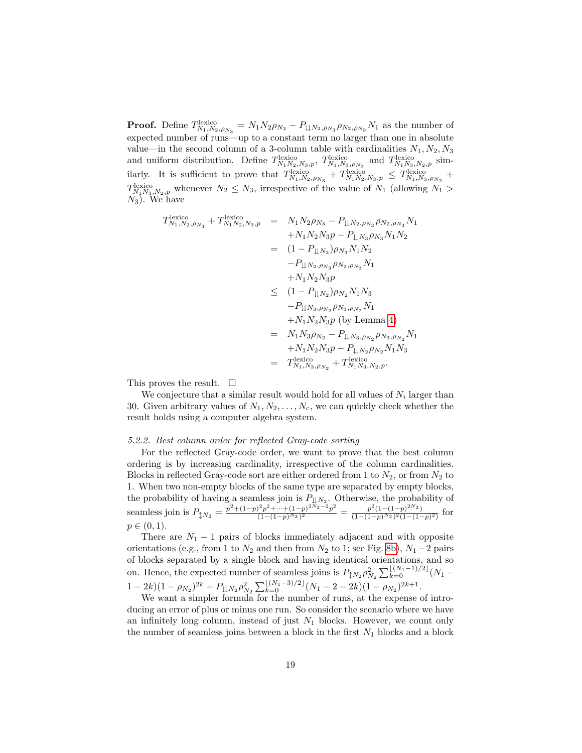**Proof.** Define  $T_{N_1,N_2,\rho_{N_3}}^{\text{lexico}} = N_1 N_2 \rho_{N_3} - P_{\downarrow \downarrow N_2,\rho_{N_3}} \rho_{N_2,\rho_{N_3}} N_1$  as the number of expected number of runs—up to a constant term no larger than one in absolute value—in the second column of a 3-column table with cardinalities  $N_1, N_2, N_3$ and uniform distribution. Define  $T_{N_1N_2,N_3,p}^{\text{lexico}}, T_{N_1,N_3,\rho_{N_2}}^{\text{lexico}}$  and  $T_{N_1N_3,N_2,p}^{\text{lexico}}$  similarly. It is sufficient to prove that  $T_{N_1,N_2,\rho_{N_3}}^{\text{lexico}} + T_{N_1,N_2,N_3,p}^{\text{lexico}} \leq T_{N_1,N_3,\rho_{N_2}}^{\text{lexico}} +$  $T_{N_1N_3,N_2,p}^{\text{lexico}}$  whenever  $N_2 \leq N_3$ , irrespective of the value of  $N_1$  (allowing  $N_1 >$  $N_3$ ). We have

$$
T_{N_1,N_2,\rho_{N_3}}^{\text{lexico}} + T_{N_1N_2,N_3,p}^{\text{lexico}} = N_1 N_2 \rho_{N_3} - P_{\downarrow \downarrow N_2, \rho_{N_3}} \rho_{N_2,\rho_{N_3}} N_1 + N_1 N_2 N_3 p - P_{\downarrow \downarrow N_3} \rho_{N_3} N_1 N_2 - P_{\downarrow \downarrow N_2, \rho_{N_3}} \rho_{N_3} N_1 N_2 - P_{\downarrow \downarrow N_2, \rho_{N_3}} \rho_{N_2,\rho_{N_3}} N_1 + N_1 N_2 N_3 p \leq (1 - P_{\downarrow \downarrow N_2}) \rho_{N_2} N_1 N_3 - P_{\downarrow \downarrow N_3, \rho_{N_2}} \rho_{N_3,\rho_{N_2}} N_1 + N_1 N_2 N_3 p \text{ (by Lemma 4)} = N_1 N_3 \rho_{N_2} - P_{\downarrow \downarrow N_3, \rho_{N_2}} \rho_{N_3, \rho_{N_2}} N_1 + N_1 N_2 N_3 p - P_{\downarrow \downarrow N_3, \rho_{N_2}} \rho_{N_3, \rho_{N_2}} N_1 + N_1 N_2 N_3 p - P_{\downarrow \downarrow N_2} \rho_{N_3, \rho_{N_2}} N_1
$$
  
= T\_{N\_1,N\_3,\rho\_{N\_2}} + T\_{N\_1 N\_3,N\_2,p}^{\text{lexico}}.

This proves the result.  $\square$ 

We conjecture that a similar result would hold for all values of  $N_i$  larger than 30. Given arbitrary values of  $N_1, N_2, \ldots, N_c$ , we can quickly check whether the result holds using a computer algebra system.

#### <span id="page-18-0"></span>5.2.2. Best column order for reflected Gray-code sorting

For the reflected Gray-code order, we want to prove that the best column ordering is by increasing cardinality, irrespective of the column cardinalities. Blocks in reflected Gray-code sort are either ordered from 1 to  $N_2$ , or from  $N_2$  to 1. When two non-empty blocks of the same type are separated by empty blocks, the probability of having a seamless join is  $P_{\downarrow\downarrow N_2}$ . Otherwise, the probability of seamless join is  $P_{\updownarrow N_2} = \frac{p^2 + (1-p)^2 p^2 + \dots + (1-p)^{2N_2-2} p^2}{(1-(1-p)^{N_2})^2}$  $\frac{p^2p^2+\cdots+(1-p)^{2N_2-2}p^2}{(1-(1-p)^{N_2})^2}=\frac{p^2(1-(1-p)^{2N_2})}{(1-(1-p)^{N_2})^2(1-(1-p)^{N_2})^2}$  $\frac{p^-(1-(1-p)^{-1/2})}{(1-(1-p)^{N_2})^2(1-(1-p)^2)}$  for  $p \in (0, 1)$ .

There are  $N_1 - 1$  pairs of blocks immediately adjacent and with opposite orientations (e.g., from 1 to  $N_2$  and then from  $N_2$  to 1; see Fig. [8b\)](#page-16-2),  $N_1-2$  pairs of blocks separated by a single block and having identical orientations, and so on. Hence, the expected number of seamless joins is  $P_{\downarrow N_2} \rho_{N_2}^2 \sum_{k=0}^{\lfloor (N_1-1)/2 \rfloor} (N_1 1 - 2k(1 - \rho_{N_2})^{2k} + P_{\downarrow \downarrow N_2} \rho_{N_2}^2 \sum_{k=0}^{\lfloor (N_1 - 3)/2 \rfloor} (N_1 - 2 - 2k)(1 - \rho_{N_2})^{2k+1}.$ 

We want a simpler formula for the number of runs, at the expense of introducing an error of plus or minus one run. So consider the scenario where we have an infinitely long column, instead of just  $N_1$  blocks. However, we count only the number of seamless joins between a block in the first  $N_1$  blocks and a block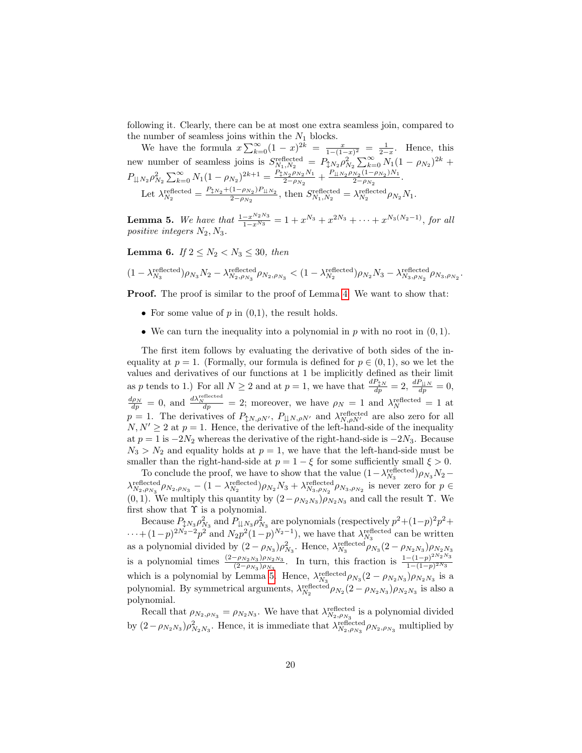following it. Clearly, there can be at most one extra seamless join, compared to the number of seamless joins within the  $N_1$  blocks.

We have the formula  $x\sum_{k=0}^{\infty}(1-x)^{2k} = \frac{x}{1-(1-x)^2} = \frac{1}{2-x}$ . Hence, this new number of seamless joins is  $S_{N_1,N_2}^{\text{reflected}} = P_{\updownarrow N_2} \rho_{N_2}^2 \sum_{k=0}^{\infty} N_1 (1 - \rho_{N_2})^{2k} +$  $P_{\downarrow\downarrow N_2} \rho_{N_2}^2 \sum_{k=0}^{\infty} N_1 (1 - \rho_{N_2})^{2k+1} = \frac{P_{\downarrow N_2} \rho_{N_2} N_1}{2 - \rho_{N_2}}$  $\frac{N_2 \rho N_2 N_1}{2 - \rho N_2} + \frac{P_{\downarrow \downarrow N_2 \rho N_2} (1 - \rho N_2) N_1}{2 - \rho N_2}$  $\frac{N_2(1-\rho_{N_2})/N_1}{2-\rho_{N_2}}$ . Let  $\lambda_{N_2}^{\text{reflected}} = \frac{P_{\downarrow N_2} + (1 - \rho_{N_2}) P_{\downarrow N_2}}{2 - \rho_{N_2}}$  $\frac{(1-\rho_{N_2})P_{\downarrow\downarrow N_2}}{2-\rho_{N_2}}$ , then  $S_{N_1,N_2}^{\text{reflected}} = \lambda_{N_2}^{\text{reflected}} \rho_{N_2} N_1$ .

<span id="page-19-0"></span>**Lemma 5.** We have that  $\frac{1-x^{N_2 N_3}}{1-x^{N_3}} = 1 + x^{N_3} + x^{2N_3} + \cdots + x^{N_3(N_2-1)}$ , for all positive integers  $N_2, N_3$ .

<span id="page-19-1"></span>Lemma 6. If  $2 \leq N_2 < N_3 \leq 30$ , then

$$
(1 - \lambda_{N_3}^{\text{reflected}})\rho_{N_3}N_2 - \lambda_{N_2,\rho_{N_3}}^{\text{reflected}}\rho_{N_2,\rho_{N_3}} < (1 - \lambda_{N_2}^{\text{reflected}})\rho_{N_2}N_3 - \lambda_{N_3,\rho_{N_2}}^{\text{reflected}}\rho_{N_3,\rho_{N_2}}.
$$

Proof. The proof is similar to the proof of Lemma [4.](#page-17-1) We want to show that:

- For some value of  $p$  in  $(0,1)$ , the result holds.
- We can turn the inequality into a polynomial in p with no root in  $(0, 1)$ .

The first item follows by evaluating the derivative of both sides of the inequality at  $p = 1$ . (Formally, our formula is defined for  $p \in (0, 1)$ , so we let the values and derivatives of our functions at 1 be implicitly defined as their limit as p tends to 1.) For all  $N \ge 2$  and at  $p = 1$ , we have that  $\frac{dP_{\perp N}}{dp} = 2$ ,  $\frac{dP_{\perp N}}{dp} = 0$ ,  $\frac{d\rho_N}{dp} = 0$ , and  $\frac{d\lambda_N^{\text{reflected}}}{dp} = 2$ ; moreover, we have  $\rho_N = 1$  and  $\lambda_N^{\text{reflected}} = 1$  at  $p = 1$ . The derivatives of  $P_{\downarrow N, \rho N'}$ ,  $P_{\downarrow \downarrow N, \rho N'}$  and  $\lambda_{N, \rho N'}^{\text{reflected}}$  are also zero for all  $N, N' \geq 2$  at  $p = 1$ . Hence, the derivative of the left-hand-side of the inequality at  $p = 1$  is  $-2N_2$  whereas the derivative of the right-hand-side is  $-2N_3$ . Because  $N_3 > N_2$  and equality holds at  $p = 1$ , we have that the left-hand-side must be smaller than the right-hand-side at  $p = 1 - \xi$  for some sufficiently small  $\xi > 0$ .

To conclude the proof, we have to show that the value  $(1 - \lambda_{N_3}^{\text{reflected}})\rho_{N_3}N_2 \lambda_{N_2,\rho_{N_3}}^{\text{reflected}}\rho_{N_2,\rho_{N_3}}-(1-\lambda_{N_2}^{\text{reflected}})\rho_{N_2}N_3+\lambda_{N_3,\rho_{N_2}}^{\text{reflected}}\rho_{N_3,\rho_{N_2}}$  is never zero for  $p\in$ (0, 1). We multiply this quantity by  $(2 - \rho_{N_2N_3})\rho_{N_2N_3}$  and call the result  $\Upsilon$ . We first show that  $\Upsilon$  is a polynomial.

Because  $P_{\downarrow N_3} \rho_{N_3}^2$  and  $P_{\downarrow \downarrow N_3} \rho_{N_3}^2$  are polynomials (respectively  $p^2 + (1-p)^2 p^2 +$  $\cdots+(1-p)^{2N_2-2}p^2$  and  $N_2p^2(1-p)^{N_2-1}$ , we have that  $\lambda_{N_3}^{\text{reflected}}$  can be written as a polynomial divided by  $(2 - \rho_{N_3})\rho_{N_3}^2$ . Hence,  $\lambda_{N_3}^{\text{reflected}}\rho_{N_3}(2 - \rho_{N_2N_3})\rho_{N_2N_3}$ is a polynomial times  $\frac{(2-\rho_{N_2N_3})\rho_{N_2N_3}}{(2-\rho_{N_1})\rho_{N_2}}$  $\frac{-\rho_{N_2N_3}\rho_{N_2N_3}}{(2-\rho_{N_3})\rho_{N_3}}$ . In turn, this fraction is  $\frac{1-(1-p)^{2N_2N_3}}{1-(1-p)^{2N_3}}$  $1-(1-p)^{2N_3}$ which is a polynomial by Lemma [5.](#page-19-0) Hence,  $\lambda_{N_3}^{\text{reflected}} \rho_{N_3} (2 - \rho_{N_2 N_3}) \rho_{N_2 N_3}$  is a polynomial. By symmetrical arguments,  $\lambda_{N_2}^{\text{reflected}} \rho_{N_2} (2 - \rho_{N_2 N_3}) \rho_{N_2 N_3}$  is also a polynomial.

Recall that  $\rho_{N_2,\rho_{N_3}} = \rho_{N_2N_3}$ . We have that  $\lambda_{N_2,\rho_{N_3}}^{\text{reflected}}$  is a polynomial divided by  $(2-\rho_{N_2N_3})\rho_{N_2N_3}^2$ . Hence, it is immediate that  $\lambda_{N_2,\rho_{N_3}}^{\text{reflected}}\rho_{N_2,\rho_{N_3}}$  multiplied by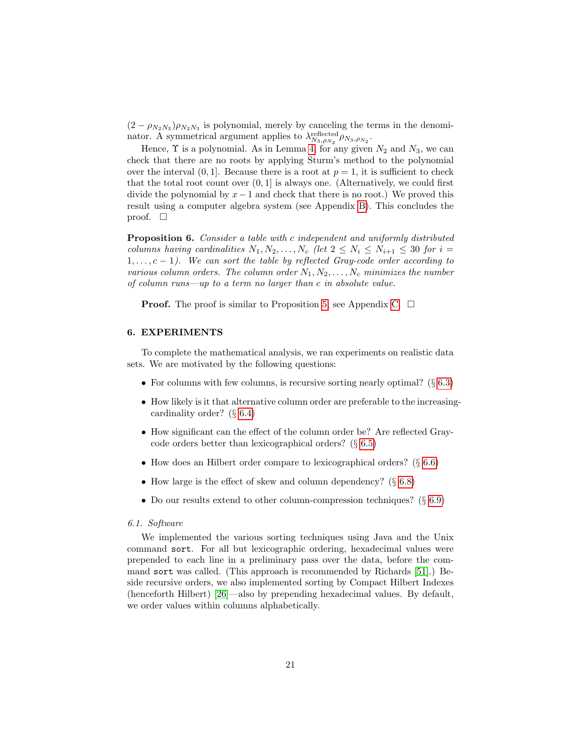$(2 - \rho_{N_2 N_3}) \rho_{N_2 N_3}$  is polynomial, merely by canceling the terms in the denominator. A symmetrical argument applies to  $\lambda_{N_3,\rho_{N_2}}^{\text{reflected}} \rho_{N_3,\rho_{N_2}}$ .

Hence,  $\Upsilon$  is a polynomial. As in Lemma [4,](#page-17-1) for any given  $N_2$  and  $N_3$ , we can check that there are no roots by applying Sturm's method to the polynomial over the interval  $(0, 1]$ . Because there is a root at  $p = 1$ , it is sufficient to check that the total root count over  $(0, 1]$  is always one. (Alternatively, we could first divide the polynomial by  $x-1$  and check that there is no root.) We proved this result using a computer algebra system (see Appendix [B\)](#page-33-1). This concludes the proof.  $\square$ 

<span id="page-20-1"></span>Proposition 6. Consider a table with c independent and uniformly distributed columns having cardinalities  $N_1, N_2, \ldots, N_c$  (let  $2 \leq N_i \leq N_{i+1} \leq 30$  for  $i =$  $1, \ldots, c-1$ ). We can sort the table by reflected Gray-code order according to various column orders. The column order  $N_1, N_2, \ldots, N_c$  minimizes the number of column runs—up to a term no larger than c in absolute value.

**Proof.** The proof is similar to Proposition [5,](#page-17-2) see Appendix [C.](#page-34-0)  $\Box$ 

## <span id="page-20-0"></span>6. EXPERIMENTS

To complete the mathematical analysis, we ran experiments on realistic data sets. We are motivated by the following questions:

- For columns with few columns, is recursive sorting nearly optimal? (§ [6.3\)](#page-21-1)
- How likely is it that alternative column order are preferable to the increasingcardinality order? (§ [6.4\)](#page-22-0)
- How significant can the effect of the column order be? Are reflected Graycode orders better than lexicographical orders? (§ [6.5\)](#page-23-0)
- How does an Hilbert order compare to lexicographical orders? (§ [6.6\)](#page-24-0)
- How large is the effect of skew and column dependency? (§ [6.8\)](#page-25-0)
- Do our results extend to other column-compression techniques?  $(\S 6.9)$  $(\S 6.9)$

## 6.1. Software

We implemented the various sorting techniques using Java and the Unix command sort. For all but lexicographic ordering, hexadecimal values were prepended to each line in a preliminary pass over the data, before the command sort was called. (This approach is recommended by Richards [\[51\]](#page-31-5).) Beside recursive orders, we also implemented sorting by Compact Hilbert Indexes (henceforth Hilbert) [\[26\]](#page-29-0)—also by prepending hexadecimal values. By default, we order values within columns alphabetically.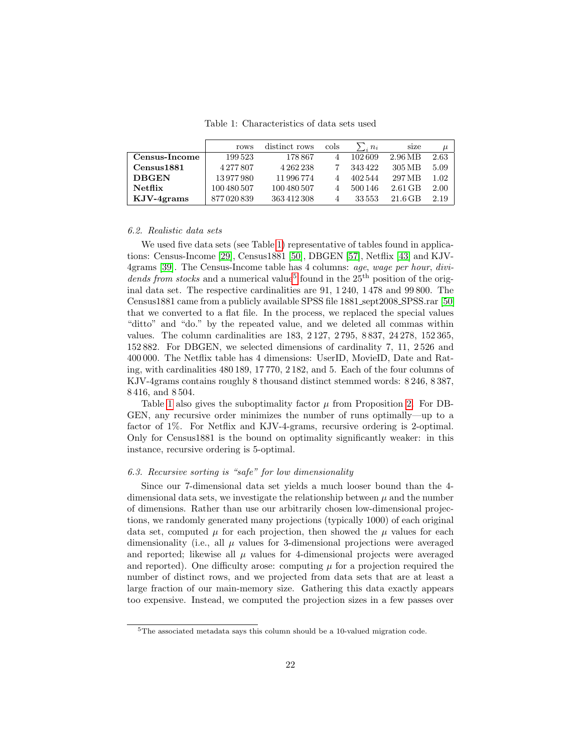Table 1: Characteristics of data sets used

<span id="page-21-0"></span>

|                | rows        | distinct rows | cols | $\sum_{i} n_i$ | size      | $\mu$    |
|----------------|-------------|---------------|------|----------------|-----------|----------|
| Census-Income  | 199523      | 178867        |      | 102609         | 2.96 MB   | 2.63     |
| Census1881     | 4277807     | 4 262 238     |      | 343422         | 305 MB    | 5.09     |
| <b>DBGEN</b>   | 13977980    | 11996774      |      | 402544         | 297 MB    | $1.02\,$ |
| <b>Netflix</b> | 100 480 507 | 100 480 507   |      | 500 146        | $2.61$ GB | 2.00     |
| $KJV-4grams$   | 877020839   | 363412308     |      | 33553          | $21.6$ GB | 2.19     |

#### 6.2. Realistic data sets

We used five data sets (see Table [1\)](#page-21-0) representative of tables found in applications: Census-Income [\[29\]](#page-29-13), Census1881 [\[50\]](#page-31-7), DBGEN [\[57\]](#page-31-8), Netflix [\[43\]](#page-30-9) and KJV-4grams [\[39\]](#page-30-0). The Census-Income table has 4 columns: age, wage per hour, divi-dends from stocks and a numerical value<sup>[5](#page-21-2)</sup> found in the  $25<sup>th</sup>$  position of the original data set. The respective cardinalities are 91, 1 240, 1 478 and 99 800. The Census1881 came from a publicly available SPSS file 1881 sept2008 SPSS.rar [\[50\]](#page-31-7) that we converted to a flat file. In the process, we replaced the special values "ditto" and "do." by the repeated value, and we deleted all commas within values. The column cardinalities are 183, 2 127, 2 795, 8 837, 24 278, 152 365, 152 882. For DBGEN, we selected dimensions of cardinality 7, 11, 2 526 and 400 000. The Netflix table has 4 dimensions: UserID, MovieID, Date and Rating, with cardinalities 480 189, 17 770, 2 182, and 5. Each of the four columns of KJV-4grams contains roughly 8 thousand distinct stemmed words: 8 246, 8 387, 8 416, and 8 504.

Table [1](#page-21-0) also gives the suboptimality factor  $\mu$  from Proposition [2.](#page-9-0) For DB-GEN, any recursive order minimizes the number of runs optimally—up to a factor of 1%. For Netflix and KJV-4-grams, recursive ordering is 2-optimal. Only for Census1881 is the bound on optimality significantly weaker: in this instance, recursive ordering is 5-optimal.

#### <span id="page-21-1"></span>6.3. Recursive sorting is "safe" for low dimensionality

Since our 7-dimensional data set yields a much looser bound than the 4 dimensional data sets, we investigate the relationship between  $\mu$  and the number of dimensions. Rather than use our arbitrarily chosen low-dimensional projections, we randomly generated many projections (typically 1000) of each original data set, computed  $\mu$  for each projection, then showed the  $\mu$  values for each dimensionality (i.e., all  $\mu$  values for 3-dimensional projections were averaged and reported; likewise all  $\mu$  values for 4-dimensional projects were averaged and reported). One difficulty arose: computing  $\mu$  for a projection required the number of distinct rows, and we projected from data sets that are at least a large fraction of our main-memory size. Gathering this data exactly appears too expensive. Instead, we computed the projection sizes in a few passes over

<span id="page-21-2"></span><sup>5</sup>The associated metadata says this column should be a 10-valued migration code.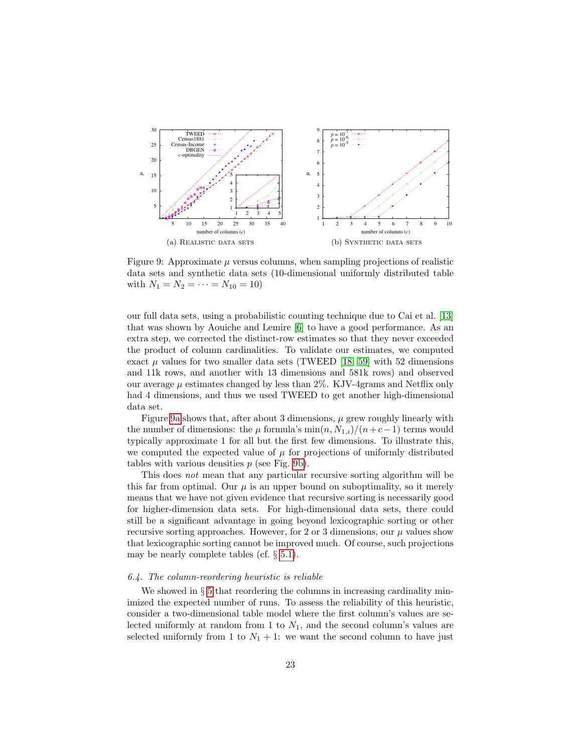<span id="page-22-1"></span>

<span id="page-22-2"></span>Figure 9: Approximate  $\mu$  versus columns, when sampling projections of realistic data sets and synthetic data sets (10-dimensional uniformly distributed table with  $N_1 = N_2 = \cdots = N_{10} = 10$ 

our full data sets, using a probabilistic counting technique due to Cai et al. [\[13\]](#page-28-10) that was shown by Aouiche and Lemire [\[6\]](#page-28-11) to have a good performance. As an extra step, we corrected the distinct-row estimates so that they never exceeded the product of column cardinalities. To validate our estimates, we computed exact  $\mu$  values for two smaller data sets (TWEED [\[18,](#page-29-14) [59\]](#page-32-4) with 52 dimensions and 11k rows, and another with 13 dimensions and 581k rows) and observed our average  $\mu$  estimates changed by less than 2%. KJV-4grams and Netflix only had 4 dimensions, and thus we used TWEED to get another high-dimensional data set.

Figure [9a](#page-22-1) shows that, after about 3 dimensions,  $\mu$  grew roughly linearly with the number of dimensions: the  $\mu$  formula's min $(n, N_{1,i})/(n+c-1)$  terms would typically approximate 1 for all but the first few dimensions. To illustrate this, we computed the expected value of  $\mu$  for projections of uniformly distributed tables with various densities  $p$  (see Fig. [9b\)](#page-22-2).

This does not mean that any particular recursive sorting algorithm will be this far from optimal. Our  $\mu$  is an upper bound on suboptimality, so it merely means that we have not given evidence that recursive sorting is necessarily good for higher-dimension data sets. For high-dimensional data sets, there could still be a significant advantage in going beyond lexicographic sorting or other recursive sorting approaches. However, for 2 or 3 dimensions, our  $\mu$  values show that lexicographic sorting cannot be improved much. Of course, such projections may be nearly complete tables (cf. § [5.1\)](#page-12-1).

#### <span id="page-22-0"></span>6.4. The column-reordering heuristic is reliable

We showed in  $\S 5$  $\S 5$  that reordering the columns in increasing cardinality minimized the expected number of runs. To assess the reliability of this heuristic, consider a two-dimensional table model where the first column's values are selected uniformly at random from 1 to  $N_1$ , and the second column's values are selected uniformly from 1 to  $N_1 + 1$ : we want the second column to have just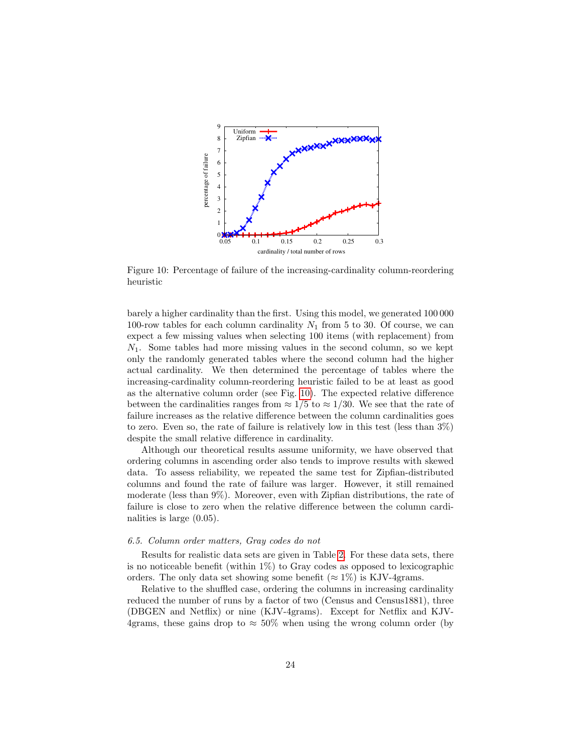<span id="page-23-1"></span>

Figure 10: Percentage of failure of the increasing-cardinality column-reordering heuristic

barely a higher cardinality than the first. Using this model, we generated 100 000 100-row tables for each column cardinality  $N_1$  from 5 to 30. Of course, we can expect a few missing values when selecting 100 items (with replacement) from  $N_1$ . Some tables had more missing values in the second column, so we kept only the randomly generated tables where the second column had the higher actual cardinality. We then determined the percentage of tables where the increasing-cardinality column-reordering heuristic failed to be at least as good as the alternative column order (see Fig. [10\)](#page-23-1). The expected relative difference between the cardinalities ranges from  $\approx 1/5$  to  $\approx 1/30$ . We see that the rate of failure increases as the relative difference between the column cardinalities goes to zero. Even so, the rate of failure is relatively low in this test (less than 3%) despite the small relative difference in cardinality.

Although our theoretical results assume uniformity, we have observed that ordering columns in ascending order also tends to improve results with skewed data. To assess reliability, we repeated the same test for Zipfian-distributed columns and found the rate of failure was larger. However, it still remained moderate (less than 9%). Moreover, even with Zipfian distributions, the rate of failure is close to zero when the relative difference between the column cardinalities is large (0.05).

## <span id="page-23-0"></span>6.5. Column order matters, Gray codes do not

Results for realistic data sets are given in Table [2.](#page-24-1) For these data sets, there is no noticeable benefit (within  $1\%$ ) to Gray codes as opposed to lexicographic orders. The only data set showing some benefit ( $\approx 1\%$ ) is KJV-4grams.

Relative to the shuffled case, ordering the columns in increasing cardinality reduced the number of runs by a factor of two (Census and Census1881), three (DBGEN and Netflix) or nine (KJV-4grams). Except for Netflix and KJV-4grams, these gains drop to  $\approx 50\%$  when using the wrong column order (by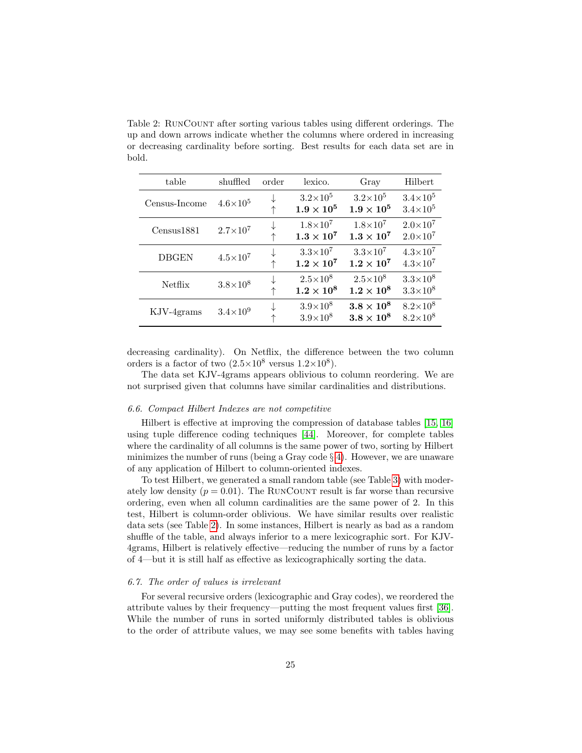<span id="page-24-1"></span>Table 2: RunCount after sorting various tables using different orderings. The up and down arrows indicate whether the columns where ordered in increasing or decreasing cardinality before sorting. Best results for each data set are in bold.

| table         | shuffled            | order | lexico.                                | Gray                                 | Hilbert                                    |
|---------------|---------------------|-------|----------------------------------------|--------------------------------------|--------------------------------------------|
| Census-Income | $4.6\times10^{5}$   |       | $3.2\times10^5$<br>$1.9\times10^5$     | $3.2\times10^5$<br>$1.9\times10^5$   | $3.4 \times 10^{5}$<br>$3.4\times10^{5}$   |
| Census1881    | $2.7\times10^{7}$   |       | $1.8\times10^{7}$<br>$1.3\times10^7$   | $1.8\times10^{7}$<br>$1.3\times10^7$ | $2.0\times10^{7}$<br>$2.0\times10^{7}$     |
| <b>DBGEN</b>  | $4.5 \times 10^{7}$ |       | $3.3\times10^7$<br>$1.2\times10^7$     | $3.3\times10^7$<br>$1.2\times10^7$   | $4.3 \times 10^{7}$<br>$4.3 \times 10^{7}$ |
| Netflix       | $3.8\times10^{8}$   |       | $2.5 \times 10^8$<br>$1.2\times10^8$   | $2.5\times10^{8}$<br>$1.2\times10^8$ | $3.3\times10^{8}$<br>$3.3\times10^{8}$     |
| KJV-4grams    | $3.4 \times 10^{9}$ |       | $3.9\times10^{8}$<br>$3.9\times10^{8}$ | $3.8 \times 10^8$<br>$3.8\times10^8$ | $8.2\times10^{8}$<br>$8.2 \times 10^{8}$   |

decreasing cardinality). On Netflix, the difference between the two column orders is a factor of two  $(2.5 \times 10^8 \text{ versus } 1.2 \times 10^8)$ .

The data set KJV-4grams appears oblivious to column reordering. We are not surprised given that columns have similar cardinalities and distributions.

## <span id="page-24-0"></span>6.6. Compact Hilbert Indexes are not competitive

Hilbert is effective at improving the compression of database tables [\[15,](#page-28-12) [16\]](#page-28-13) using tuple difference coding techniques [\[44\]](#page-30-10). Moreover, for complete tables where the cardinality of all columns is the same power of two, sorting by Hilbert minimizes the number of runs (being a Gray code  $\S 4$ ). However, we are unaware of any application of Hilbert to column-oriented indexes.

To test Hilbert, we generated a small random table (see Table [3\)](#page-25-1) with moderately low density  $(p = 0.01)$ . The RUNCOUNT result is far worse than recursive ordering, even when all column cardinalities are the same power of 2. In this test, Hilbert is column-order oblivious. We have similar results over realistic data sets (see Table [2\)](#page-24-1). In some instances, Hilbert is nearly as bad as a random shuffle of the table, and always inferior to a mere lexicographic sort. For KJV-4grams, Hilbert is relatively effective—reducing the number of runs by a factor of 4—but it is still half as effective as lexicographically sorting the data.

## 6.7. The order of values is irrelevant

For several recursive orders (lexicographic and Gray codes), we reordered the attribute values by their frequency—putting the most frequent values first [\[36\]](#page-30-11). While the number of runs in sorted uniformly distributed tables is oblivious to the order of attribute values, we may see some benefits with tables having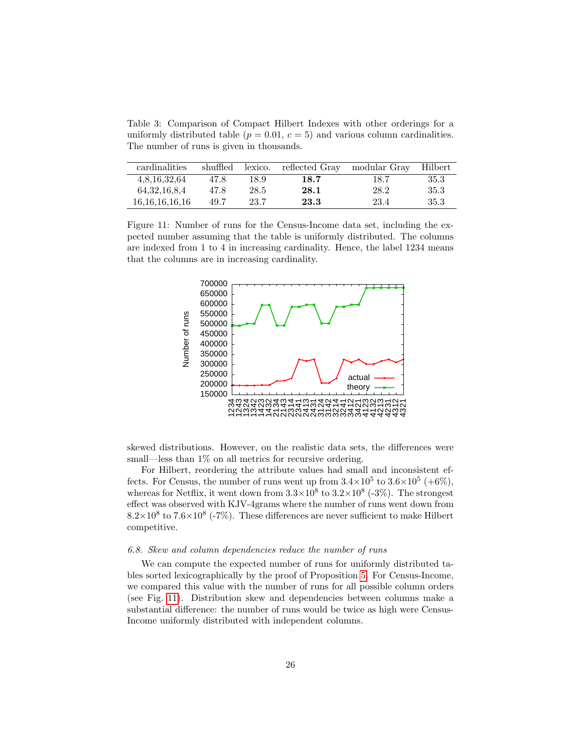<span id="page-25-1"></span>Table 3: Comparison of Compact Hilbert Indexes with other orderings for a uniformly distributed table ( $p = 0.01$ ,  $c = 5$ ) and various column cardinalities. The number of runs is given in thousands.

| cardinalities    | shuffled | lexico. | reflected Gray | modular Gray | Hilbert |
|------------------|----------|---------|----------------|--------------|---------|
| 4,8,16,32,64     | 47.8     | 18.9    | 18.7           | 18.7         | 35.3    |
| 64, 32, 16, 8, 4 | 47.8     | 28.5    | 28.1           | 28.2         | 35.3    |
| 16.16.16.16.16   | 49.7     | 23.7    | 23.3           | 23.4         | 35.3    |

<span id="page-25-2"></span>Figure 11: Number of runs for the Census-Income data set, including the expected number assuming that the table is uniformly distributed. The columns are indexed from 1 to 4 in increasing cardinality. Hence, the label 1234 means that the columns are in increasing cardinality.



skewed distributions. However, on the realistic data sets, the differences were small—less than 1% on all metrics for recursive ordering.

For Hilbert, reordering the attribute values had small and inconsistent effects. For Census, the number of runs went up from  $3.4 \times 10^5$  to  $3.6 \times 10^5$  (+6%), whereas for Netflix, it went down from  $3.3 \times 10^8$  to  $3.2 \times 10^8$  (-3%). The strongest effect was observed with KJV-4grams where the number of runs went down from  $8.2\times10^8$  to  $7.6\times10^8$  (-7%). These differences are never sufficient to make Hilbert competitive.

## <span id="page-25-0"></span>6.8. Skew and column dependencies reduce the number of runs

We can compute the expected number of runs for uniformly distributed tables sorted lexicographically by the proof of Proposition [5.](#page-17-2) For Census-Income, we compared this value with the number of runs for all possible column orders (see Fig. [11\)](#page-25-2). Distribution skew and dependencies between columns make a substantial difference: the number of runs would be twice as high were Census-Income uniformly distributed with independent columns.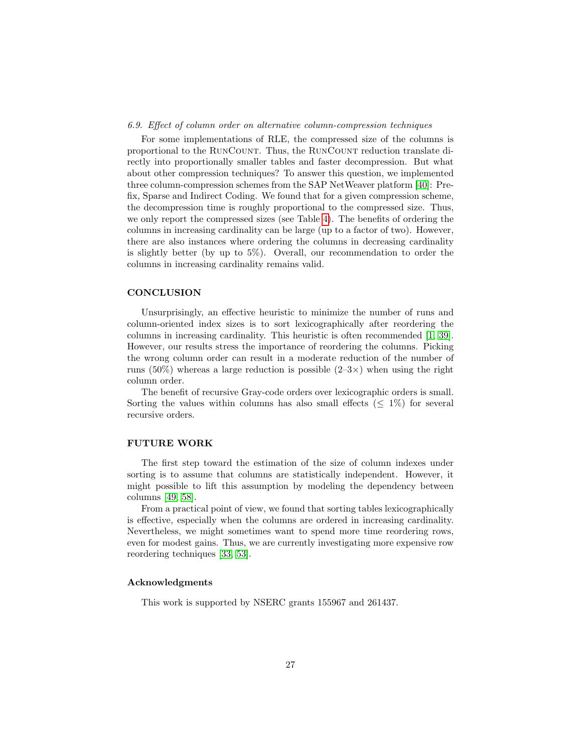## <span id="page-26-0"></span>6.9. Effect of column order on alternative column-compression techniques

For some implementations of RLE, the compressed size of the columns is proportional to the RUNCOUNT. Thus, the RUNCOUNT reduction translate directly into proportionally smaller tables and faster decompression. But what about other compression techniques? To answer this question, we implemented three column-compression schemes from the SAP NetWeaver platform [\[40\]](#page-30-12): Prefix, Sparse and Indirect Coding. We found that for a given compression scheme, the decompression time is roughly proportional to the compressed size. Thus, we only report the compressed sizes (see Table [4\)](#page-27-2). The benefits of ordering the columns in increasing cardinality can be large (up to a factor of two). However, there are also instances where ordering the columns in decreasing cardinality is slightly better (by up to 5%). Overall, our recommendation to order the columns in increasing cardinality remains valid.

## **CONCLUSION**

Unsurprisingly, an effective heuristic to minimize the number of runs and column-oriented index sizes is to sort lexicographically after reordering the columns in increasing cardinality. This heuristic is often recommended [\[1,](#page-27-0) [39\]](#page-30-0). However, our results stress the importance of reordering the columns. Picking the wrong column order can result in a moderate reduction of the number of runs (50%) whereas a large reduction is possible  $(2-3\times)$  when using the right column order.

The benefit of recursive Gray-code orders over lexicographic orders is small. Sorting the values within columns has also small effects ( $\leq 1\%$ ) for several recursive orders.

## FUTURE WORK

The first step toward the estimation of the size of column indexes under sorting is to assume that columns are statistically independent. However, it might possible to lift this assumption by modeling the dependency between columns [\[49,](#page-31-9) [58\]](#page-31-10).

From a practical point of view, we found that sorting tables lexicographically is effective, especially when the columns are ordered in increasing cardinality. Nevertheless, we might sometimes want to spend more time reordering rows, even for modest gains. Thus, we are currently investigating more expensive row reordering techniques [\[33,](#page-30-13) [53\]](#page-31-11).

## Acknowledgments

This work is supported by NSERC grants 155967 and 261437.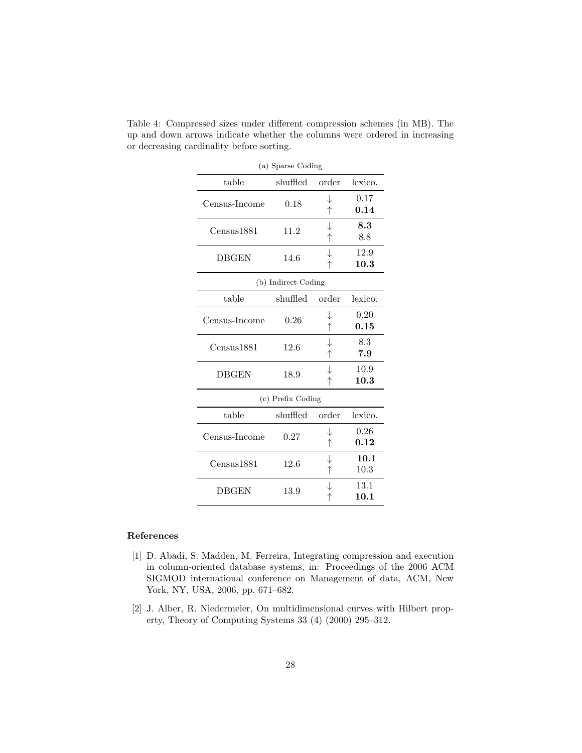| (a) Sparse Coding |                     |                 |              |  |  |  |  |  |
|-------------------|---------------------|-----------------|--------------|--|--|--|--|--|
| table             | shuffled            | order           | lexico.      |  |  |  |  |  |
| Census-Income     | 0.18                | ↓<br>↑          | 0.17<br>0.14 |  |  |  |  |  |
| Census1881        | 11.2                | ↓               | 8.3<br>8.8   |  |  |  |  |  |
| <b>DBGEN</b>      | 14.6                |                 | 12.9<br>10.3 |  |  |  |  |  |
|                   | (b) Indirect Coding |                 |              |  |  |  |  |  |
| table             | shuffled            | order           | lexico.      |  |  |  |  |  |
| Census-Income     | 0.26                | ↓<br>$\uparrow$ | 0.20<br>0.15 |  |  |  |  |  |
| Census1881        | J<br>12.6<br>↑      |                 | 8.3<br>7.9   |  |  |  |  |  |
| <b>DBGEN</b>      | 18.9                |                 | 10.9<br>10.3 |  |  |  |  |  |
|                   | (c) Prefix Coding   |                 |              |  |  |  |  |  |
| table             | shuffled            | order           | lexico.      |  |  |  |  |  |
| Census-Income     | 0.27                | T<br>↑          | 0.26<br>0.12 |  |  |  |  |  |
| Census1881        | 12.6                | ↓<br>↑          | 10.1<br>10.3 |  |  |  |  |  |
| <b>DBGEN</b>      | 13.9                |                 | 13.1<br>10.1 |  |  |  |  |  |

<span id="page-27-2"></span>Table 4: Compressed sizes under different compression schemes (in MB). The up and down arrows indicate whether the columns were ordered in increasing or decreasing cardinality before sorting.

## References

- <span id="page-27-0"></span>[1] D. Abadi, S. Madden, M. Ferreira, Integrating compression and execution in column-oriented database systems, in: Proceedings of the 2006 ACM SIGMOD international conference on Management of data, ACM, New York, NY, USA, 2006, pp. 671–682.
- <span id="page-27-1"></span>[2] J. Alber, R. Niedermeier, On multidimensional curves with Hilbert property, Theory of Computing Systems 33 (4) (2000) 295–312.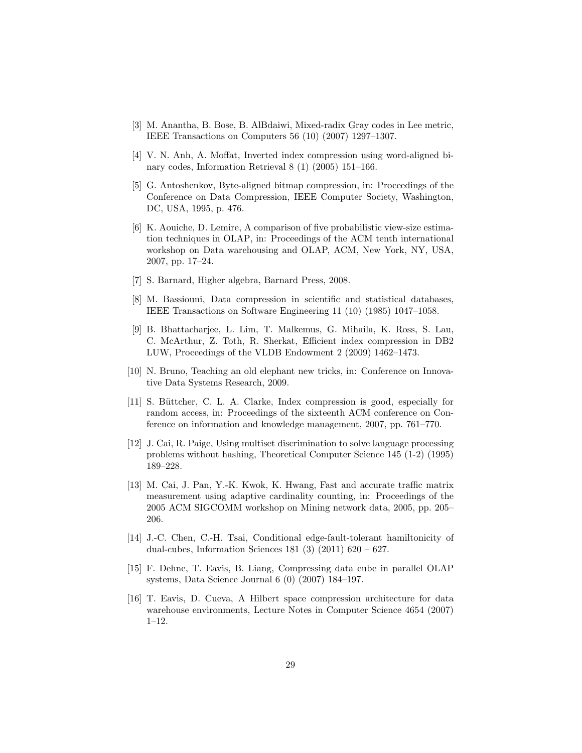- <span id="page-28-6"></span>[3] M. Anantha, B. Bose, B. AlBdaiwi, Mixed-radix Gray codes in Lee metric, IEEE Transactions on Computers 56 (10) (2007) 1297–1307.
- <span id="page-28-0"></span>[4] V. N. Anh, A. Moffat, Inverted index compression using word-aligned binary codes, Information Retrieval 8 (1) (2005) 151–166.
- <span id="page-28-3"></span>[5] G. Antoshenkov, Byte-aligned bitmap compression, in: Proceedings of the Conference on Data Compression, IEEE Computer Society, Washington, DC, USA, 1995, p. 476.
- <span id="page-28-11"></span>[6] K. Aouiche, D. Lemire, A comparison of five probabilistic view-size estimation techniques in OLAP, in: Proceedings of the ACM tenth international workshop on Data warehousing and OLAP, ACM, New York, NY, USA, 2007, pp. 17–24.
- <span id="page-28-9"></span>[7] S. Barnard, Higher algebra, Barnard Press, 2008.
- <span id="page-28-2"></span>[8] M. Bassiouni, Data compression in scientific and statistical databases, IEEE Transactions on Software Engineering 11 (10) (1985) 1047–1058.
- <span id="page-28-1"></span>[9] B. Bhattacharjee, L. Lim, T. Malkemus, G. Mihaila, K. Ross, S. Lau, C. McArthur, Z. Toth, R. Sherkat, Efficient index compression in DB2 LUW, Proceedings of the VLDB Endowment 2 (2009) 1462–1473.
- <span id="page-28-8"></span>[10] N. Bruno, Teaching an old elephant new tricks, in: Conference on Innovative Data Systems Research, 2009.
- <span id="page-28-4"></span>[11] S. Büttcher, C. L. A. Clarke, Index compression is good, especially for random access, in: Proceedings of the sixteenth ACM conference on Conference on information and knowledge management, 2007, pp. 761–770.
- <span id="page-28-5"></span>[12] J. Cai, R. Paige, Using multiset discrimination to solve language processing problems without hashing, Theoretical Computer Science 145 (1-2) (1995) 189–228.
- <span id="page-28-10"></span>[13] M. Cai, J. Pan, Y.-K. Kwok, K. Hwang, Fast and accurate traffic matrix measurement using adaptive cardinality counting, in: Proceedings of the 2005 ACM SIGCOMM workshop on Mining network data, 2005, pp. 205– 206.
- <span id="page-28-7"></span>[14] J.-C. Chen, C.-H. Tsai, Conditional edge-fault-tolerant hamiltonicity of dual-cubes, Information Sciences 181 (3) (2011) 620 – 627.
- <span id="page-28-12"></span>[15] F. Dehne, T. Eavis, B. Liang, Compressing data cube in parallel OLAP systems, Data Science Journal 6 (0) (2007) 184–197.
- <span id="page-28-13"></span>[16] T. Eavis, D. Cueva, A Hilbert space compression architecture for data warehouse environments, Lecture Notes in Computer Science 4654 (2007) 1–12.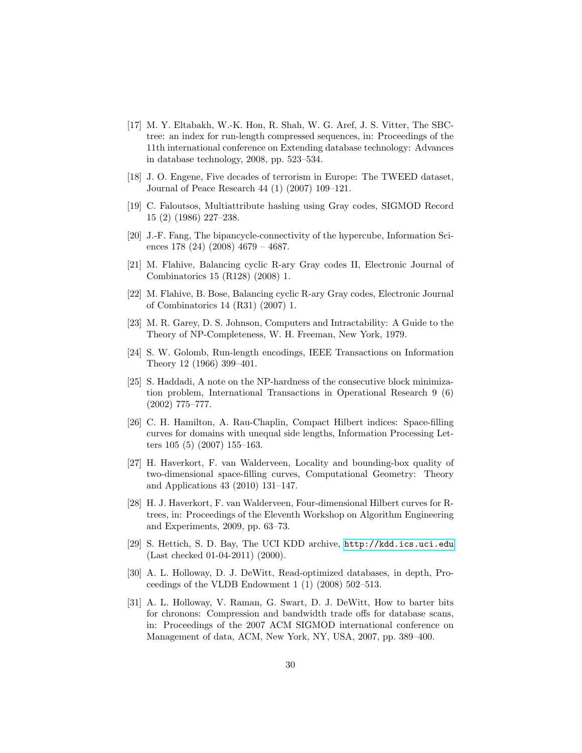- <span id="page-29-4"></span>[17] M. Y. Eltabakh, W.-K. Hon, R. Shah, W. G. Aref, J. S. Vitter, The SBCtree: an index for run-length compressed sequences, in: Proceedings of the 11th international conference on Extending database technology: Advances in database technology, 2008, pp. 523–534.
- <span id="page-29-14"></span>[18] J. O. Engene, Five decades of terrorism in Europe: The TWEED dataset, Journal of Peace Research 44 (1) (2007) 109–121.
- <span id="page-29-11"></span>[19] C. Faloutsos, Multiattribute hashing using Gray codes, SIGMOD Record 15 (2) (1986) 227–238.
- <span id="page-29-7"></span>[20] J.-F. Fang, The bipancycle-connectivity of the hypercube, Information Sciences 178 (24) (2008) 4679 – 4687.
- <span id="page-29-8"></span>[21] M. Flahive, Balancing cyclic R-ary Gray codes II, Electronic Journal of Combinatorics 15 (R128) (2008) 1.
- <span id="page-29-9"></span>[22] M. Flahive, B. Bose, Balancing cyclic R-ary Gray codes, Electronic Journal of Combinatorics 14 (R31) (2007) 1.
- <span id="page-29-5"></span>[23] M. R. Garey, D. S. Johnson, Computers and Intractability: A Guide to the Theory of NP-Completeness, W. H. Freeman, New York, 1979.
- <span id="page-29-2"></span>[24] S. W. Golomb, Run-length encodings, IEEE Transactions on Information Theory 12 (1966) 399–401.
- <span id="page-29-6"></span>[25] S. Haddadi, A note on the NP-hardness of the consecutive block minimization problem, International Transactions in Operational Research 9 (6) (2002) 775–777.
- <span id="page-29-0"></span>[26] C. H. Hamilton, A. Rau-Chaplin, Compact Hilbert indices: Space-filling curves for domains with unequal side lengths, Information Processing Letters 105 (5) (2007) 155–163.
- <span id="page-29-12"></span>[27] H. Haverkort, F. van Walderveen, Locality and bounding-box quality of two-dimensional space-filling curves, Computational Geometry: Theory and Applications 43 (2010) 131–147.
- <span id="page-29-10"></span>[28] H. J. Haverkort, F. van Walderveen, Four-dimensional Hilbert curves for Rtrees, in: Proceedings of the Eleventh Workshop on Algorithm Engineering and Experiments, 2009, pp. 63–73.
- <span id="page-29-13"></span>[29] S. Hettich, S. D. Bay, The UCI KDD archive, <http://kdd.ics.uci.edu> (Last checked 01-04-2011) (2000).
- <span id="page-29-3"></span>[30] A. L. Holloway, D. J. DeWitt, Read-optimized databases, in depth, Proceedings of the VLDB Endowment  $1(1)(2008)$  502–513.
- <span id="page-29-1"></span>[31] A. L. Holloway, V. Raman, G. Swart, D. J. DeWitt, How to barter bits for chronons: Compression and bandwidth trade offs for database scans, in: Proceedings of the 2007 ACM SIGMOD international conference on Management of data, ACM, New York, NY, USA, 2007, pp. 389–400.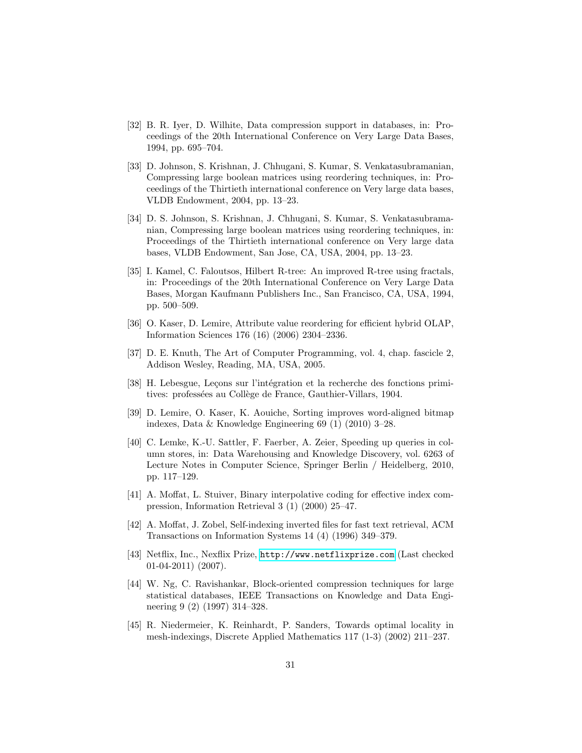- <span id="page-30-2"></span>[32] B. R. Iyer, D. Wilhite, Data compression support in databases, in: Proceedings of the 20th International Conference on Very Large Data Bases, 1994, pp. 695–704.
- <span id="page-30-13"></span>[33] D. Johnson, S. Krishnan, J. Chhugani, S. Kumar, S. Venkatasubramanian, Compressing large boolean matrices using reordering techniques, in: Proceedings of the Thirtieth international conference on Very large data bases, VLDB Endowment, 2004, pp. 13–23.
- <span id="page-30-4"></span>[34] D. S. Johnson, S. Krishnan, J. Chhugani, S. Kumar, S. Venkatasubramanian, Compressing large boolean matrices using reordering techniques, in: Proceedings of the Thirtieth international conference on Very large data bases, VLDB Endowment, San Jose, CA, USA, 2004, pp. 13–23.
- <span id="page-30-6"></span>[35] I. Kamel, C. Faloutsos, Hilbert R-tree: An improved R-tree using fractals, in: Proceedings of the 20th International Conference on Very Large Data Bases, Morgan Kaufmann Publishers Inc., San Francisco, CA, USA, 1994, pp. 500–509.
- <span id="page-30-11"></span>[36] O. Kaser, D. Lemire, Attribute value reordering for efficient hybrid OLAP, Information Sciences 176 (16) (2006) 2304–2336.
- <span id="page-30-5"></span>[37] D. E. Knuth, The Art of Computer Programming, vol. 4, chap. fascicle 2, Addison Wesley, Reading, MA, USA, 2005.
- <span id="page-30-7"></span>[38] H. Lebesgue, Lecons sur l'intégration et la recherche des fonctions primitives: professées au Collège de France, Gauthier-Villars, 1904.
- <span id="page-30-0"></span>[39] D. Lemire, O. Kaser, K. Aouiche, Sorting improves word-aligned bitmap indexes, Data & Knowledge Engineering 69 (1) (2010) 3–28.
- <span id="page-30-12"></span>[40] C. Lemke, K.-U. Sattler, F. Faerber, A. Zeier, Speeding up queries in column stores, in: Data Warehousing and Knowledge Discovery, vol. 6263 of Lecture Notes in Computer Science, Springer Berlin / Heidelberg, 2010, pp. 117–129.
- <span id="page-30-1"></span>[41] A. Moffat, L. Stuiver, Binary interpolative coding for effective index compression, Information Retrieval 3 (1) (2000) 25–47.
- <span id="page-30-3"></span>[42] A. Moffat, J. Zobel, Self-indexing inverted files for fast text retrieval, ACM Transactions on Information Systems 14 (4) (1996) 349–379.
- <span id="page-30-9"></span>[43] Netflix, Inc., Nexflix Prize, <http://www.netflixprize.com> (Last checked 01-04-2011) (2007).
- <span id="page-30-10"></span>[44] W. Ng, C. Ravishankar, Block-oriented compression techniques for large statistical databases, IEEE Transactions on Knowledge and Data Engineering 9 (2) (1997) 314–328.
- <span id="page-30-8"></span>[45] R. Niedermeier, K. Reinhardt, P. Sanders, Towards optimal locality in mesh-indexings, Discrete Applied Mathematics 117 (1-3) (2002) 211–237.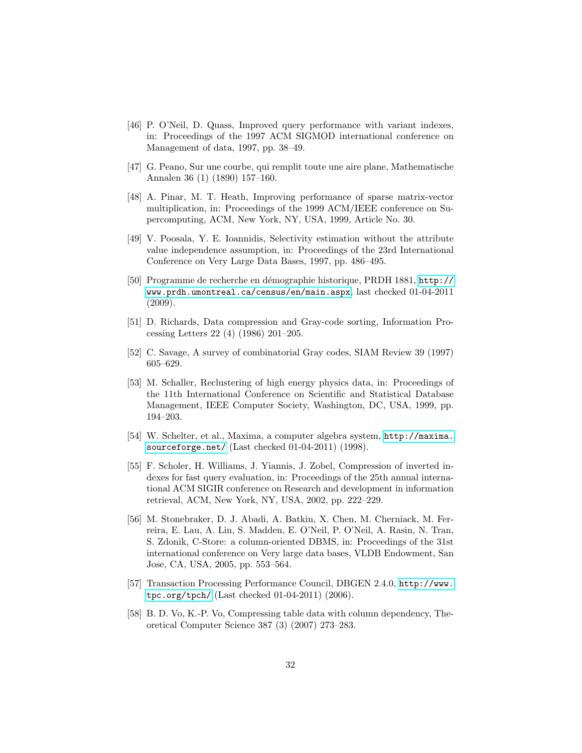- <span id="page-31-0"></span>[46] P. O'Neil, D. Quass, Improved query performance with variant indexes, in: Proceedings of the 1997 ACM SIGMOD international conference on Management of data, 1997, pp. 38–49.
- <span id="page-31-6"></span>[47] G. Peano, Sur une courbe, qui remplit toute une aire plane, Mathematische Annalen 36 (1) (1890) 157–160.
- <span id="page-31-2"></span>[48] A. Pinar, M. T. Heath, Improving performance of sparse matrix-vector multiplication, in: Proceedings of the 1999 ACM/IEEE conference on Supercomputing, ACM, New York, NY, USA, 1999, Article No. 30.
- <span id="page-31-9"></span>[49] V. Poosala, Y. E. Ioannidis, Selectivity estimation without the attribute value independence assumption, in: Proceedings of the 23rd International Conference on Very Large Data Bases, 1997, pp. 486–495.
- <span id="page-31-7"></span>[50] Programme de recherche en d´emographie historique, PRDH 1881, [http://](http://www.prdh.umontreal.ca/census/en/main.aspx) [www.prdh.umontreal.ca/census/en/main.aspx](http://www.prdh.umontreal.ca/census/en/main.aspx), last checked 01-04-2011 (2009).
- <span id="page-31-5"></span>[51] D. Richards, Data compression and Gray-code sorting, Information Processing Letters 22 (4) (1986) 201–205.
- <span id="page-31-4"></span>[52] C. Savage, A survey of combinatorial Gray codes, SIAM Review 39 (1997) 605–629.
- <span id="page-31-11"></span>[53] M. Schaller, Reclustering of high energy physics data, in: Proceedings of the 11th International Conference on Scientific and Statistical Database Management, IEEE Computer Society, Washington, DC, USA, 1999, pp. 194–203.
- <span id="page-31-12"></span>[54] W. Schelter, et al., Maxima, a computer algebra system, [http://maxima.](http://maxima.sourceforge.net/) [sourceforge.net/](http://maxima.sourceforge.net/) (Last checked 01-04-2011) (1998).
- <span id="page-31-1"></span>[55] F. Scholer, H. Williams, J. Yiannis, J. Zobel, Compression of inverted indexes for fast query evaluation, in: Proceedings of the 25th annual international ACM SIGIR conference on Research and development in information retrieval, ACM, New York, NY, USA, 2002, pp. 222–229.
- <span id="page-31-3"></span>[56] M. Stonebraker, D. J. Abadi, A. Batkin, X. Chen, M. Cherniack, M. Ferreira, E. Lau, A. Lin, S. Madden, E. O'Neil, P. O'Neil, A. Rasin, N. Tran, S. Zdonik, C-Store: a column-oriented DBMS, in: Proceedings of the 31st international conference on Very large data bases, VLDB Endowment, San Jose, CA, USA, 2005, pp. 553–564.
- <span id="page-31-8"></span>[57] Transaction Processing Performance Council, DBGEN 2.4.0, [http://www.](http://www.tpc.org/tpch/) [tpc.org/tpch/](http://www.tpc.org/tpch/) (Last checked 01-04-2011) (2006).
- <span id="page-31-10"></span>[58] B. D. Vo, K.-P. Vo, Compressing table data with column dependency, Theoretical Computer Science 387 (3) (2007) 273–283.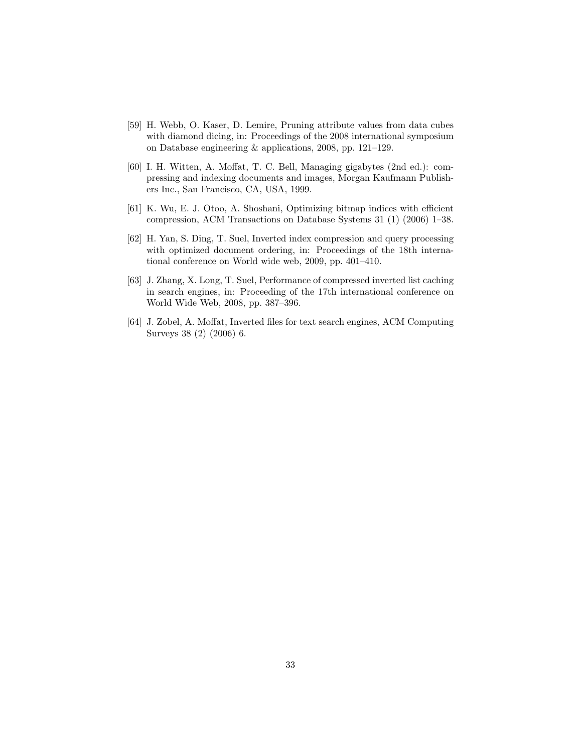- <span id="page-32-4"></span>[59] H. Webb, O. Kaser, D. Lemire, Pruning attribute values from data cubes with diamond dicing, in: Proceedings of the 2008 international symposium on Database engineering & applications, 2008, pp. 121–129.
- <span id="page-32-0"></span>[60] I. H. Witten, A. Moffat, T. C. Bell, Managing gigabytes (2nd ed.): compressing and indexing documents and images, Morgan Kaufmann Publishers Inc., San Francisco, CA, USA, 1999.
- <span id="page-32-3"></span>[61] K. Wu, E. J. Otoo, A. Shoshani, Optimizing bitmap indices with efficient compression, ACM Transactions on Database Systems 31 (1) (2006) 1–38.
- <span id="page-32-1"></span>[62] H. Yan, S. Ding, T. Suel, Inverted index compression and query processing with optimized document ordering, in: Proceedings of the 18th international conference on World wide web, 2009, pp. 401–410.
- [63] J. Zhang, X. Long, T. Suel, Performance of compressed inverted list caching in search engines, in: Proceeding of the 17th international conference on World Wide Web, 2008, pp. 387–396.
- <span id="page-32-2"></span>[64] J. Zobel, A. Moffat, Inverted files for text search engines, ACM Computing Surveys 38 (2) (2006) 6.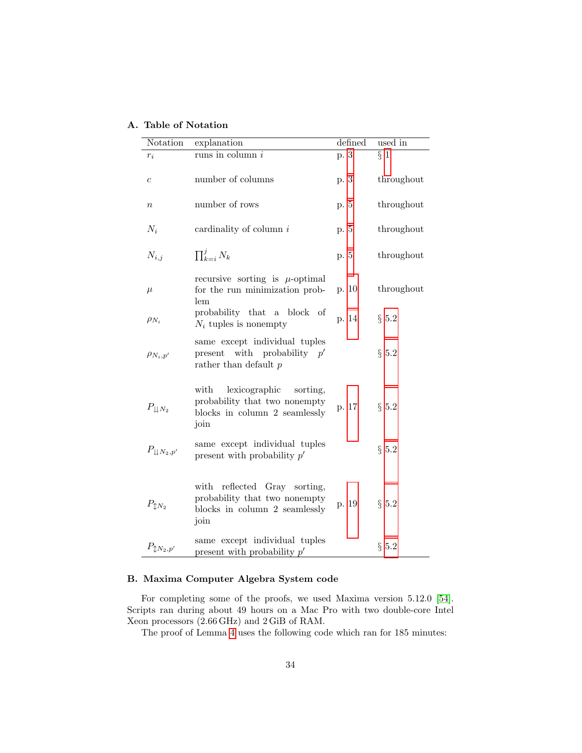<span id="page-33-0"></span>

| Notation                       | explanation                                                                                                 | defined | used in    |
|--------------------------------|-------------------------------------------------------------------------------------------------------------|---------|------------|
| $r_i$                          | runs in column $i$                                                                                          | p. 3    | $\S$ 1     |
| $\boldsymbol{c}$               | number of columns                                                                                           | p. 3    | throughout |
| $\boldsymbol{n}$               | number of rows                                                                                              | p. 5    | throughout |
| $N_i$                          | cardinality of column $i$                                                                                   | p. 5    | throughout |
| $N_{i,j}$                      | $\prod_{k=i}^{j} N_k$                                                                                       | p. 5    | throughout |
| $\mu$                          | recursive sorting is $\mu$ -optimal<br>for the run minimization prob-<br>lem                                | p. 10   | throughout |
| $\rho_{N_i}$                   | probability that a block of<br>$N_i$ tuples is nonempty                                                     | p. 14   | $\S~5.2$   |
| $\rho_{N_i,p'}$                | same except individual tuples<br>present with probability $p'$<br>rather than default $p$                   |         | $\S~5.2$   |
| $P_{\downarrow\downarrow N_2}$ | with<br>lexicographic<br>sorting,<br>probability that two nonempty<br>blocks in column 2 seamlessly<br>join | p. 17   | $\S~5.2$   |
| $P_{\perp N_2,p'}$             | same except individual tuples<br>present with probability $p'$                                              |         | $\S~5.2$   |
| $P_{\updownarrow N_2}$         | reflected Gray sorting,<br>with<br>probability that two nonempty<br>blocks in column 2 seamlessly<br>join   | p. 19   | $\S~5.2$   |
| $P_{\updownarrow N_2,p'}$      | same except individual tuples<br>present with probability $p'$                                              |         | $\S~5.2$   |

# <span id="page-33-1"></span>B. Maxima Computer Algebra System code

For completing some of the proofs, we used Maxima version 5.12.0 [\[54\]](#page-31-12). Scripts ran during about 49 hours on a Mac Pro with two double-core Intel Xeon processors (2.66 GHz) and 2 GiB of RAM.

The proof of Lemma [4](#page-17-1) uses the following code which ran for 185 minutes: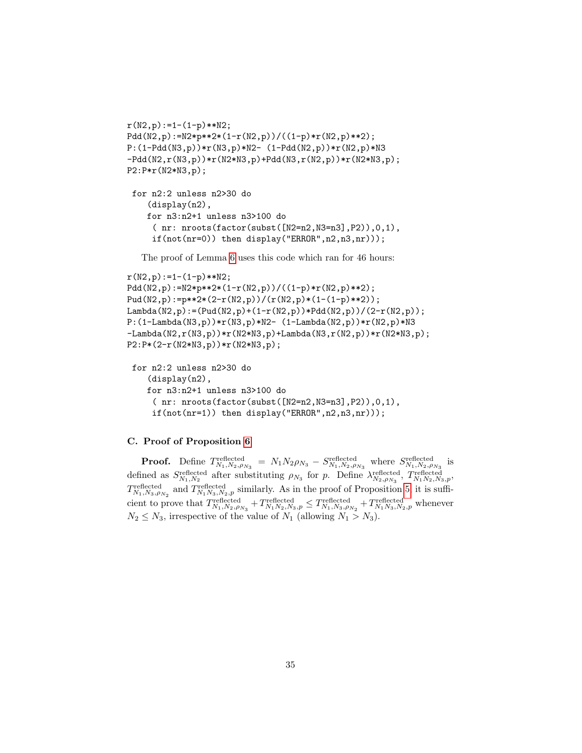```
r(N2,p):=1-(1-p)**N2;Pdd(N2,p):=N2*p**2*(1-r(N2,p))/((1-p)*r(N2,p)**2);
P:(1-Pdd(N3,p))*r(N3,p)*N2- (1-Pdd(N2,p))*r(N2,p)*N3
-Pdd(N2,r(N3,p))*r(N2*N3,p)+Pdd(N3,r(N2,p))*r(N2*N3,p);
P2:P*r(N2*N3,p);
```

```
for n2:2 unless n2>30 do
   (display(n2),
   for n3:n2+1 unless n3>100 do
    ( nr: nroots(factor(subst([N2=n2,N3=n3],P2)),0,1),
    if(not(nr=0)) then display("ERROR", n2, n3, nr));
```
The proof of Lemma [6](#page-19-1) uses this code which ran for 46 hours:

```
r(N2,p):=1-(1-p)**N2;Pdd(N2,p):=N2*p**2*(1-r(N2,p))/((1-p)*r(N2,p)**2);
Pud(N2,p):=p**2*(2-r(N2,p))/(r(N2,p)*(1-(1-p)**2));
Lambda(N2,p):=(Pud(N2,p)+(1-r(N2,p))*Pdd(N2,p))/(2-r(N2,p));
P:(1-Lambda(N3,p))*r(N3,p)*N2- (1-Lambda(N2,p))*r(N2,p)*N3
-Lambda(N2,r(N3,p))*r(N2*N3,p)+Lambda(N3,r(N2,p))*r(N2*N3,p);
P2:P*(2-r(N2*N3,p))*r(N2*N3,p);
```

```
for n2:2 unless n2>30 do
   (display(n2),
   for n3:n2+1 unless n3>100 do
    ( nr: nroots(factor(subst([N2=n2,N3=n3],P2)),0,1),
    if(not(nr=1)) then display("ERROR", n2, n3, nr));
```
## <span id="page-34-0"></span>C. Proof of Proposition [6](#page-20-1)

**Proof.** Define  $T_{N_1,N_2,\rho_{N_3}}^{\text{reflected}} = N_1 N_2 \rho_{N_3} - S_{N_1,N_2,\rho_{N_3}}^{\text{reflected}}$  where  $S_{N_1,N_2,\rho_{N_3}}^{\text{reflected}}$  is defined as  $S_{N_1,N_2}^{\text{reflected}}$  after substituting  $\rho_{N_3}$  for p. Define  $\lambda_{N_2,\rho_{N_3}}^{\text{reflected}}$ ,  $T_{N_1N_2,N_3,p}^{\text{reflected}}$ ,  $T_{N_1,N_3,\rho_{N_2}}^{\text{reflected}}$  and  $T_{N_1,N_3,N_2,p}^{\text{reflected}}$  similarly. As in the proof of Proposition [5,](#page-17-2) it is sufficient to prove that  $T_{N_1,N_2,\rho_{N_3}}^{\text{reflected}}+T_{N_1,N_2,N_3,p}^{\text{reflected}} \leq T_{N_1,N_3,\rho_{N_2}}^{\text{reflected}}+T_{N_1,N_3,N_2,p}^{\text{reflected}}$  whenever  $N_2 \leq N_3$ , irrespective of the value of  $N_1$  (allowing  $N_1 > N_3$ ).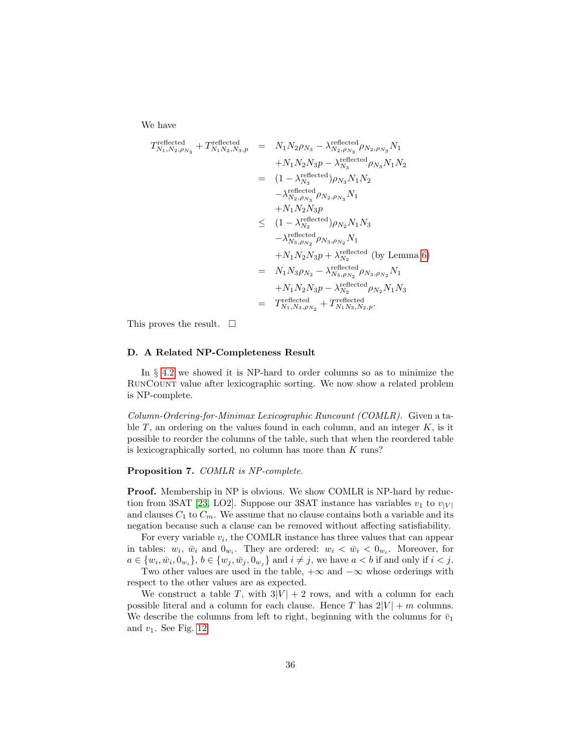We have

$$
T_{N_1,N_2,\rho_{N_3}}^{\text{reflected}} + T_{N_1 N_2,N_3,p}^{\text{reflected}} = N_1 N_2 \rho_{N_3} - \lambda_{N_2,\rho_{N_3}}^{\text{reflected}} \rho_{N_2,\rho_{N_3}} N_1
$$
  
\n
$$
+ N_1 N_2 N_3 p - \lambda_{N_3}^{\text{reflected}} \rho_{N_3} N_1 N_2
$$
  
\n
$$
= (1 - \lambda_{N_3}^{\text{reflected}}) \rho_{N_3} N_1 N_2
$$
  
\n
$$
- \lambda_{N_2,\rho_{N_3}}^{\text{reflected}} \rho_{N_2,\rho_{N_3}} N_1
$$
  
\n
$$
+ N_1 N_2 N_3 p
$$
  
\n
$$
\leq (1 - \lambda_{N_3}^{\text{reflected}}) \rho_{N_2} N_1 N_3
$$
  
\n
$$
- \lambda_{N_3,\rho_{N_2}}^{\text{reflected}} \rho_{N_3,\rho_{N_2}} N_1
$$
  
\n
$$
+ N_1 N_2 N_3 p + \lambda_{N_2}^{\text{reflected}} \text{ (by Lemma 6)}
$$
  
\n
$$
= N_1 N_3 \rho_{N_2} - \lambda_{N_3,\rho_{N_2}}^{\text{reflected}} \rho_{N_3,\rho_{N_2}} N_1
$$
  
\n
$$
+ N_1 N_2 N_3 p - \lambda_{N_2}^{\text{reflected}} \rho_{N_2} N_1 N_3
$$
  
\n
$$
= T_{N_1,N_3,\rho_{N_2}}^{\text{reflected}} + T_{N_1 N_3,N_2,p}^{\text{reflected}}.
$$

This proves the result.  $\square$ 

## <span id="page-35-0"></span>D. A Related NP-Completeness Result

In § [4.2](#page-10-0) we showed it is NP-hard to order columns so as to minimize the RunCount value after lexicographic sorting. We now show a related problem is NP-complete.

Column-Ordering-for-Minimax Lexicographic Runcount (COMLR). Given a table  $T$ , an ordering on the values found in each column, and an integer  $K$ , is it possible to reorder the columns of the table, such that when the reordered table is lexicographically sorted, no column has more than  $K$  runs?

## Proposition 7. COMLR is NP-complete.

Proof. Membership in NP is obvious. We show COMLR is NP-hard by reduc-tion from 3SAT [\[23,](#page-29-5) LO2]. Suppose our 3SAT instance has variables  $v_1$  to  $v_{|V|}$ and clauses  $C_1$  to  $C_m$ . We assume that no clause contains both a variable and its negation because such a clause can be removed without affecting satisfiability.

For every variable  $v_i$ , the COMLR instance has three values that can appear in tables:  $w_i$ ,  $\bar{w}_i$  and  $0_{w_i}$ . They are ordered:  $w_i < \bar{w}_i < 0_{w_i}$ . Moreover, for  $a \in \{w_i, \bar{w}_i, 0_{w_i}\}, b \in \{w_j, \bar{w}_j, 0_{w_j}\}$  and  $i \neq j$ , we have  $a < b$  if and only if  $i < j$ .

Two other values are used in the table,  $+\infty$  and  $-\infty$  whose orderings with respect to the other values are as expected.

We construct a table T, with  $3|V| + 2$  rows, and with a column for each possible literal and a column for each clause. Hence T has  $2|V| + m$  columns. We describe the columns from left to right, beginning with the columns for  $\bar{v}_1$ and  $v_1$ . See Fig. [12.](#page-37-0)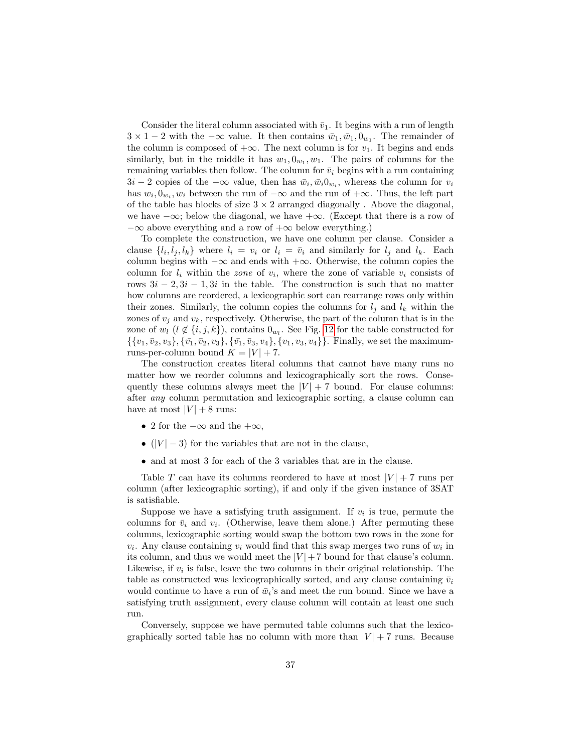Consider the literal column associated with  $\bar{v}_1$ . It begins with a run of length  $3 \times 1 - 2$  with the  $-\infty$  value. It then contains  $\bar{w}_1, \bar{w}_1, 0_{w_1}$ . The remainder of the column is composed of  $+\infty$ . The next column is for  $v_1$ . It begins and ends similarly, but in the middle it has  $w_1, 0_{w_1}, w_1$ . The pairs of columns for the remaining variables then follow. The column for  $\bar{v}_i$  begins with a run containing  $3i - 2$  copies of the  $-\infty$  value, then has  $\bar{w}_i, \bar{w}_i, 0_{w_i}$ , whereas the column for  $v_i$ has  $w_i, 0_{w_i}, w_i$  between the run of  $-\infty$  and the run of  $+\infty$ . Thus, the left part of the table has blocks of size  $3 \times 2$  arranged diagonally. Above the diagonal, we have  $-\infty$ ; below the diagonal, we have  $+\infty$ . (Except that there is a row of  $-\infty$  above everything and a row of  $+\infty$  below everything.)

To complete the construction, we have one column per clause. Consider a clause  $\{l_i, l_j, l_k\}$  where  $l_i = v_i$  or  $l_i = \bar{v}_i$  and similarly for  $l_j$  and  $l_k$ . Each column begins with  $-\infty$  and ends with  $+\infty$ . Otherwise, the column copies the column for  $l_i$  within the *zone* of  $v_i$ , where the zone of variable  $v_i$  consists of rows  $3i - 2, 3i - 1, 3i$  in the table. The construction is such that no matter how columns are reordered, a lexicographic sort can rearrange rows only within their zones. Similarly, the column copies the columns for  $l_j$  and  $l_k$  within the zones of  $v_j$  and  $v_k$ , respectively. Otherwise, the part of the column that is in the zone of  $w_l$   $(l \notin \{i, j, k\})$ , contains  $0_{w_l}$ . See Fig. [12](#page-37-0) for the table constructed for  $\{\{v_1, \bar{v}_2, v_3\}, \{\bar{v}_1, \bar{v}_2, v_3\}, \{\bar{v}_1, \bar{v}_3, v_4\}, \{v_1, v_3, v_4\}\}.$  Finally, we set the maximumruns-per-column bound  $K = |V| + 7$ .

The construction creates literal columns that cannot have many runs no matter how we reorder columns and lexicographically sort the rows. Consequently these columns always meet the  $|V| + 7$  bound. For clause columns: after any column permutation and lexicographic sorting, a clause column can have at most  $|V| + 8$  runs:

- 2 for the  $-\infty$  and the  $+\infty$ ,
- $(|V| 3)$  for the variables that are not in the clause,
- and at most 3 for each of the 3 variables that are in the clause.

Table T can have its columns reordered to have at most  $|V| + 7$  runs per column (after lexicographic sorting), if and only if the given instance of 3SAT is satisfiable.

Suppose we have a satisfying truth assignment. If  $v_i$  is true, permute the columns for  $\bar{v}_i$  and  $v_i$ . (Otherwise, leave them alone.) After permuting these columns, lexicographic sorting would swap the bottom two rows in the zone for  $v_i$ . Any clause containing  $v_i$  would find that this swap merges two runs of  $w_i$  in its column, and thus we would meet the  $|V|+7$  bound for that clause's column. Likewise, if  $v_i$  is false, leave the two columns in their original relationship. The table as constructed was lexicographically sorted, and any clause containing  $\bar{v}_i$ would continue to have a run of  $\bar{w}_i$ 's and meet the run bound. Since we have a satisfying truth assignment, every clause column will contain at least one such run.

Conversely, suppose we have permuted table columns such that the lexicographically sorted table has no column with more than  $|V| + 7$  runs. Because